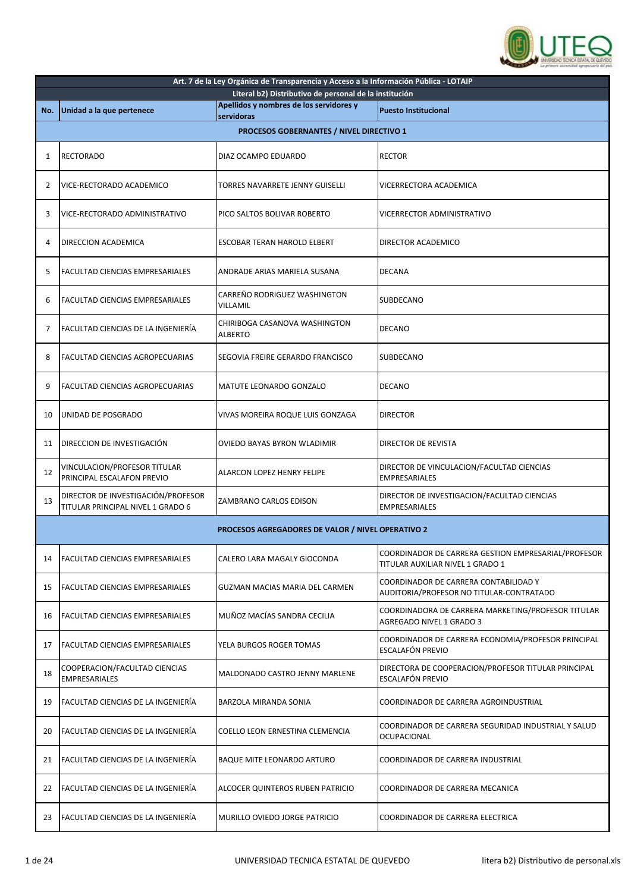

|     | Art. 7 de la Ley Orgánica de Transparencia y Acceso a la Información Pública - LOTAIP |                                                          |                                                                                         |  |
|-----|---------------------------------------------------------------------------------------|----------------------------------------------------------|-----------------------------------------------------------------------------------------|--|
|     |                                                                                       | Literal b2) Distributivo de personal de la institución   |                                                                                         |  |
| No. | Unidad a la que pertenece                                                             | Apellidos y nombres de los servidores y                  | <b>Puesto Institucional</b>                                                             |  |
|     |                                                                                       | servidoras                                               |                                                                                         |  |
|     |                                                                                       | PROCESOS GOBERNANTES / NIVEL DIRECTIVO 1                 |                                                                                         |  |
| 1   | <b>RECTORADO</b>                                                                      | DIAZ OCAMPO EDUARDO                                      | <b>RECTOR</b>                                                                           |  |
| 2   | VICE-RECTORADO ACADEMICO                                                              | TORRES NAVARRETE JENNY GUISELLI                          | VICERRECTORA ACADEMICA                                                                  |  |
| 3   | VICE-RECTORADO ADMINISTRATIVO                                                         | PICO SALTOS BOLIVAR ROBERTO                              | VICERRECTOR ADMINISTRATIVO                                                              |  |
| 4   | DIRECCION ACADEMICA                                                                   | ESCOBAR TERAN HAROLD ELBERT                              | DIRECTOR ACADEMICO                                                                      |  |
| 5   | <b>FACULTAD CIENCIAS EMPRESARIALES</b>                                                | ANDRADE ARIAS MARIELA SUSANA                             | <b>DECANA</b>                                                                           |  |
| 6   | FACULTAD CIENCIAS EMPRESARIALES                                                       | CARREÑO RODRIGUEZ WASHINGTON<br>VILLAMIL                 | SUBDECANO                                                                               |  |
| 7   | FACULTAD CIENCIAS DE LA INGENIERÍA                                                    | CHIRIBOGA CASANOVA WASHINGTON<br>ALBERTO                 | <b>DECANO</b>                                                                           |  |
| 8   | FACULTAD CIENCIAS AGROPECUARIAS                                                       | SEGOVIA FREIRE GERARDO FRANCISCO                         | SUBDECANO                                                                               |  |
| 9   | FACULTAD CIENCIAS AGROPECUARIAS                                                       | MATUTE LEONARDO GONZALO                                  | <b>DECANO</b>                                                                           |  |
| 10  | UNIDAD DE POSGRADO                                                                    | VIVAS MOREIRA ROQUE LUIS GONZAGA                         | <b>DIRECTOR</b>                                                                         |  |
| 11  | DIRECCION DE INVESTIGACIÓN                                                            | OVIEDO BAYAS BYRON WLADIMIR                              | DIRECTOR DE REVISTA                                                                     |  |
| 12  | VINCULACION/PROFESOR TITULAR<br>PRINCIPAL ESCALAFON PREVIO                            | ALARCON LOPEZ HENRY FELIPE                               | DIRECTOR DE VINCULACION/FACULTAD CIENCIAS<br><b>EMPRESARIALES</b>                       |  |
| 13  | DIRECTOR DE INVESTIGACIÓN/PROFESOR<br>TITULAR PRINCIPAL NIVEL 1 GRADO 6               | ZAMBRANO CARLOS EDISON                                   | DIRECTOR DE INVESTIGACION/FACULTAD CIENCIAS<br><b>EMPRESARIALES</b>                     |  |
|     |                                                                                       | <b>PROCESOS AGREGADORES DE VALOR / NIVEL OPERATIVO 2</b> |                                                                                         |  |
| 14  | <b>FACULTAD CIENCIAS EMPRESARIALES</b>                                                | CALERO LARA MAGALY GIOCONDA                              | COORDINADOR DE CARRERA GESTION EMPRESARIAL/PROFESOR<br>TITULAR AUXILIAR NIVEL 1 GRADO 1 |  |
| 15  | FACULTAD CIENCIAS EMPRESARIALES                                                       | GUZMAN MACIAS MARIA DEL CARMEN                           | COORDINADOR DE CARRERA CONTABILIDAD Y<br>AUDITORIA/PROFESOR NO TITULAR-CONTRATADO       |  |
| 16  | FACULTAD CIENCIAS EMPRESARIALES                                                       | MUÑOZ MACÍAS SANDRA CECILIA                              | COORDINADORA DE CARRERA MARKETING/PROFESOR TITULAR<br>AGREGADO NIVEL 1 GRADO 3          |  |
| 17  | FACULTAD CIENCIAS EMPRESARIALES                                                       | YELA BURGOS ROGER TOMAS                                  | COORDINADOR DE CARRERA ECONOMIA/PROFESOR PRINCIPAL<br>ESCALAFÓN PREVIO                  |  |
| 18  | COOPERACION/FACULTAD CIENCIAS<br><b>EMPRESARIALES</b>                                 | MALDONADO CASTRO JENNY MARLENE                           | DIRECTORA DE COOPERACION/PROFESOR TITULAR PRINCIPAL<br>ESCALAFÓN PREVIO                 |  |
| 19  | FACULTAD CIENCIAS DE LA INGENIERÍA                                                    | BARZOLA MIRANDA SONIA                                    | COORDINADOR DE CARRERA AGROINDUSTRIAL                                                   |  |
| 20  | FACULTAD CIENCIAS DE LA INGENIERÍA                                                    | COELLO LEON ERNESTINA CLEMENCIA                          | COORDINADOR DE CARRERA SEGURIDAD INDUSTRIAL Y SALUD<br><b>OCUPACIONAL</b>               |  |
| 21  | FACULTAD CIENCIAS DE LA INGENIERÍA                                                    | BAQUE MITE LEONARDO ARTURO                               | COORDINADOR DE CARRERA INDUSTRIAL                                                       |  |
| 22  | FACULTAD CIENCIAS DE LA INGENIERÍA                                                    | ALCOCER QUINTEROS RUBEN PATRICIO                         | COORDINADOR DE CARRERA MECANICA                                                         |  |
| 23  | FACULTAD CIENCIAS DE LA INGENIERÍA                                                    | MURILLO OVIEDO JORGE PATRICIO                            | COORDINADOR DE CARRERA ELECTRICA                                                        |  |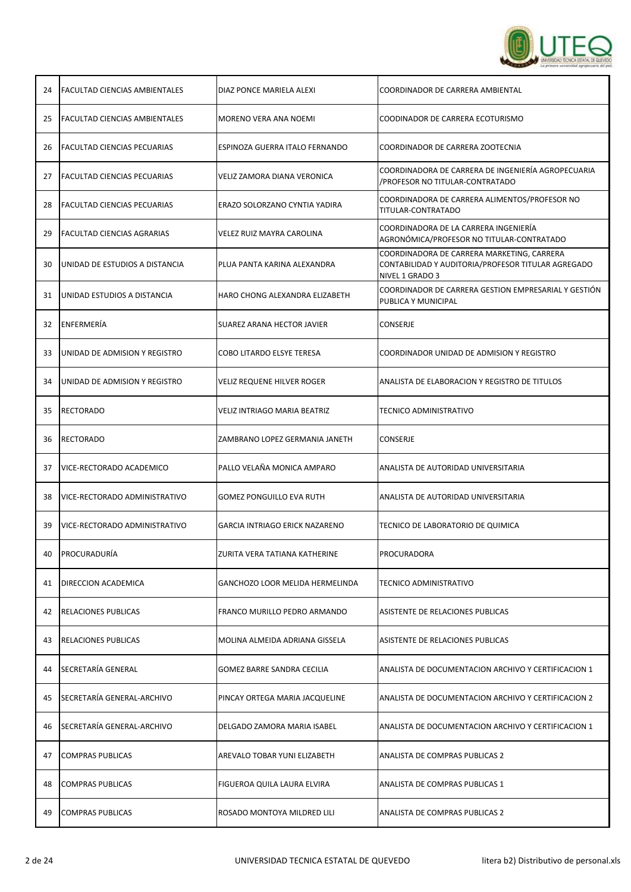

| 24 | <b>FACULTAD CIENCIAS AMBIENTALES</b> | DIAZ PONCE MARIELA ALEXI              | COORDINADOR DE CARRERA AMBIENTAL                                                                                    |
|----|--------------------------------------|---------------------------------------|---------------------------------------------------------------------------------------------------------------------|
| 25 | <b>FACULTAD CIENCIAS AMBIENTALES</b> | MORENO VERA ANA NOEMI                 | COODINADOR DE CARRERA ECOTURISMO                                                                                    |
| 26 | <b>FACULTAD CIENCIAS PECUARIAS</b>   | ESPINOZA GUERRA ITALO FERNANDO        | COORDINADOR DE CARRERA ZOOTECNIA                                                                                    |
| 27 | <b>FACULTAD CIENCIAS PECUARIAS</b>   | VELIZ ZAMORA DIANA VERONICA           | COORDINADORA DE CARRERA DE INGENIERÍA AGROPECUARIA<br>/PROFESOR NO TITULAR-CONTRATADO                               |
| 28 | <b>FACULTAD CIENCIAS PECUARIAS</b>   | ERAZO SOLORZANO CYNTIA YADIRA         | COORDINADORA DE CARRERA ALIMENTOS/PROFESOR NO<br>TITULAR-CONTRATADO                                                 |
| 29 | <b>FACULTAD CIENCIAS AGRARIAS</b>    | VELEZ RUIZ MAYRA CAROLINA             | COORDINADORA DE LA CARRERA INGENIERÍA<br>AGRONÓMICA/PROFESOR NO TITULAR-CONTRATADO                                  |
| 30 | UNIDAD DE ESTUDIOS A DISTANCIA       | PLUA PANTA KARINA ALEXANDRA           | COORDINADORA DE CARRERA MARKETING, CARRERA<br>CONTABILIDAD Y AUDITORIA/PROFESOR TITULAR AGREGADO<br>NIVEL 1 GRADO 3 |
| 31 | UNIDAD ESTUDIOS A DISTANCIA          | HARO CHONG ALEXANDRA ELIZABETH        | COORDINADOR DE CARRERA GESTION EMPRESARIAL Y GESTION<br>PUBLICA Y MUNICIPAL                                         |
| 32 | ENFERMERÍA                           | SUAREZ ARANA HECTOR JAVIER            | CONSERJE                                                                                                            |
| 33 | UNIDAD DE ADMISION Y REGISTRO        | COBO LITARDO ELSYE TERESA             | COORDINADOR UNIDAD DE ADMISION Y REGISTRO                                                                           |
| 34 | UNIDAD DE ADMISION Y REGISTRO        | VELIZ REQUENE HILVER ROGER            | ANALISTA DE ELABORACION Y REGISTRO DE TITULOS                                                                       |
| 35 | <b>RECTORADO</b>                     | VELIZ INTRIAGO MARIA BEATRIZ          | <b>TECNICO ADMINISTRATIVO</b>                                                                                       |
| 36 | <b>RECTORADO</b>                     | ZAMBRANO LOPEZ GERMANIA JANETH        | CONSERJE                                                                                                            |
| 37 | VICE-RECTORADO ACADEMICO             | PALLO VELAÑA MONICA AMPARO            | ANALISTA DE AUTORIDAD UNIVERSITARIA                                                                                 |
| 38 | VICE-RECTORADO ADMINISTRATIVO        | <b>GOMEZ PONGUILLO EVA RUTH</b>       | ANALISTA DE AUTORIDAD UNIVERSITARIA                                                                                 |
| 39 | VICE-RECTORADO ADMINISTRATIVO        | <b>GARCIA INTRIAGO ERICK NAZARENO</b> | TECNICO DE LABORATORIO DE QUIMICA                                                                                   |
|    | 40   PROCURADURIA                    | ZURITA VERA TATIANA KATHERINE         | PROCURADORA                                                                                                         |
| 41 | DIRECCION ACADEMICA                  | GANCHOZO LOOR MELIDA HERMELINDA       | TECNICO ADMINISTRATIVO                                                                                              |
| 42 | <b>RELACIONES PUBLICAS</b>           | FRANCO MURILLO PEDRO ARMANDO          | ASISTENTE DE RELACIONES PUBLICAS                                                                                    |
| 43 | <b>RELACIONES PUBLICAS</b>           | MOLINA ALMEIDA ADRIANA GISSELA        | ASISTENTE DE RELACIONES PUBLICAS                                                                                    |
| 44 | SECRETARÍA GENERAL                   | GOMEZ BARRE SANDRA CECILIA            | ANALISTA DE DOCUMENTACION ARCHIVO Y CERTIFICACION 1                                                                 |
| 45 | SECRETARÍA GENERAL-ARCHIVO           | PINCAY ORTEGA MARIA JACQUELINE        | ANALISTA DE DOCUMENTACION ARCHIVO Y CERTIFICACION 2                                                                 |
| 46 | SECRETARÍA GENERAL-ARCHIVO           | DELGADO ZAMORA MARIA ISABEL           | ANALISTA DE DOCUMENTACION ARCHIVO Y CERTIFICACION 1                                                                 |
| 47 | <b>COMPRAS PUBLICAS</b>              | AREVALO TOBAR YUNI ELIZABETH          | ANALISTA DE COMPRAS PUBLICAS 2                                                                                      |
| 48 | <b>COMPRAS PUBLICAS</b>              | FIGUEROA QUILA LAURA ELVIRA           | ANALISTA DE COMPRAS PUBLICAS 1                                                                                      |
| 49 | <b>COMPRAS PUBLICAS</b>              | ROSADO MONTOYA MILDRED LILI           | ANALISTA DE COMPRAS PUBLICAS 2                                                                                      |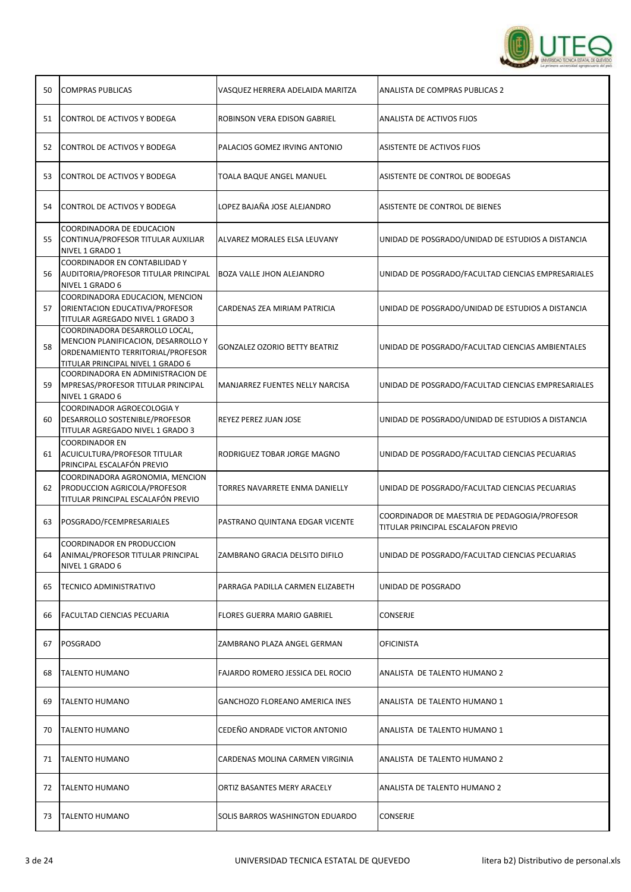

| 50 | <b>COMPRAS PUBLICAS</b>                                                                                                                         | VASQUEZ HERRERA ADELAIDA MARITZA        | ANALISTA DE COMPRAS PUBLICAS 2                                                      |
|----|-------------------------------------------------------------------------------------------------------------------------------------------------|-----------------------------------------|-------------------------------------------------------------------------------------|
| 51 | CONTROL DE ACTIVOS Y BODEGA                                                                                                                     | ROBINSON VERA EDISON GABRIEL            | <b>ANALISTA DE ACTIVOS FIJOS</b>                                                    |
| 52 | CONTROL DE ACTIVOS Y BODEGA                                                                                                                     | PALACIOS GOMEZ IRVING ANTONIO           | ASISTENTE DE ACTIVOS FIJOS                                                          |
| 53 | CONTROL DE ACTIVOS Y BODEGA                                                                                                                     | TOALA BAQUE ANGEL MANUEL                | ASISTENTE DE CONTROL DE BODEGAS                                                     |
| 54 | CONTROL DE ACTIVOS Y BODEGA                                                                                                                     | LOPEZ BAJAÑA JOSE ALEJANDRO             | ASISTENTE DE CONTROL DE BIENES                                                      |
| 55 | COORDINADORA DE EDUCACION<br>CONTINUA/PROFESOR TITULAR AUXILIAR<br>NIVEL 1 GRADO 1                                                              | ALVAREZ MORALES ELSA LEUVANY            | UNIDAD DE POSGRADO/UNIDAD DE ESTUDIOS A DISTANCIA                                   |
| 56 | COORDINADOR EN CONTABILIDAD Y<br>AUDITORIA/PROFESOR TITULAR PRINCIPAL<br>NIVEL 1 GRADO 6                                                        | BOZA VALLE JHON ALEJANDRO               | UNIDAD DE POSGRADO/FACULTAD CIENCIAS EMPRESARIALES                                  |
| 57 | COORDINADORA EDUCACION, MENCION<br>ORIENTACION EDUCATIVA/PROFESOR<br>TITULAR AGREGADO NIVEL 1 GRADO 3                                           | CARDENAS ZEA MIRIAM PATRICIA            | UNIDAD DE POSGRADO/UNIDAD DE ESTUDIOS A DISTANCIA                                   |
| 58 | COORDINADORA DESARROLLO LOCAL,<br>MENCION PLANIFICACION, DESARROLLO Y<br>ORDENAMIENTO TERRITORIAL/PROFESOR<br>TITULAR PRINCIPAL NIVEL 1 GRADO 6 | <b>GONZALEZ OZORIO BETTY BEATRIZ</b>    | UNIDAD DE POSGRADO/FACULTAD CIENCIAS AMBIENTALES                                    |
| 59 | COORDINADORA EN ADMINISTRACION DE<br>MPRESAS/PROFESOR TITULAR PRINCIPAL<br>NIVEL 1 GRADO 6                                                      | MANJARREZ FUENTES NELLY NARCISA         | UNIDAD DE POSGRADO/FACULTAD CIENCIAS EMPRESARIALES                                  |
| 60 | COORDINADOR AGROECOLOGIA Y<br>DESARROLLO SOSTENIBLE/PROFESOR<br>TITULAR AGREGADO NIVEL 1 GRADO 3                                                | REYEZ PEREZ JUAN JOSE                   | UNIDAD DE POSGRADO/UNIDAD DE ESTUDIOS A DISTANCIA                                   |
| 61 | <b>COORDINADOR EN</b><br>ACUICULTURA/PROFESOR TITULAR<br>PRINCIPAL ESCALAFÓN PREVIO                                                             | RODRIGUEZ TOBAR JORGE MAGNO             | UNIDAD DE POSGRADO/FACULTAD CIENCIAS PECUARIAS                                      |
| 62 | COORDINADORA AGRONOMIA, MENCION<br>PRODUCCION AGRICOLA/PROFESOR<br>TITULAR PRINCIPAL ESCALAFÓN PREVIO                                           | TORRES NAVARRETE ENMA DANIELLY          | UNIDAD DE POSGRADO/FACULTAD CIENCIAS PECUARIAS                                      |
| 63 | POSGRADO/FCEMPRESARIALES                                                                                                                        | PASTRANO QUINTANA EDGAR VICENTE         | COORDINADOR DE MAESTRIA DE PEDAGOGIA/PROFESOR<br>TITULAR PRINCIPAL ESCALAFON PREVIO |
| 64 | COORDINADOR EN PRODUCCION<br>ANIMAL/PROFESOR TITULAR PRINCIPAL<br>NIVEL 1 GRADO 6                                                               | ZAMBRANO GRACIA DELSITO DIFILO          | UNIDAD DE POSGRADO/FACULTAD CIENCIAS PECUARIAS                                      |
| 65 | <b>TECNICO ADMINISTRATIVO</b>                                                                                                                   | PARRAGA PADILLA CARMEN ELIZABETH        | UNIDAD DE POSGRADO                                                                  |
| 66 | <b>FACULTAD CIENCIAS PECUARIA</b>                                                                                                               | FLORES GUERRA MARIO GABRIEL             | CONSERJE                                                                            |
| 67 | POSGRADO                                                                                                                                        | ZAMBRANO PLAZA ANGEL GERMAN             | <b>OFICINISTA</b>                                                                   |
| 68 | <b>ITALENTO HUMANO</b>                                                                                                                          | <b>FAJARDO ROMERO JESSICA DEL ROCIO</b> | ANALISTA DE TALENTO HUMANO 2                                                        |
| 69 | <b>TALENTO HUMANO</b>                                                                                                                           | GANCHOZO FLOREANO AMERICA INES          | ANALISTA DE TALENTO HUMANO 1                                                        |
| 70 | <b>TALENTO HUMANO</b>                                                                                                                           | CEDEÑO ANDRADE VICTOR ANTONIO           | ANALISTA DE TALENTO HUMANO 1                                                        |
| 71 | <b>ITALENTO HUMANO</b>                                                                                                                          | CARDENAS MOLINA CARMEN VIRGINIA         | ANALISTA DE TALENTO HUMANO 2                                                        |
| 72 | <b>TALENTO HUMANO</b>                                                                                                                           | ORTIZ BASANTES MERY ARACELY             | ANALISTA DE TALENTO HUMANO 2                                                        |
| 73 | <b>TALENTO HUMANO</b>                                                                                                                           | SOLIS BARROS WASHINGTON EDUARDO         | CONSERJE                                                                            |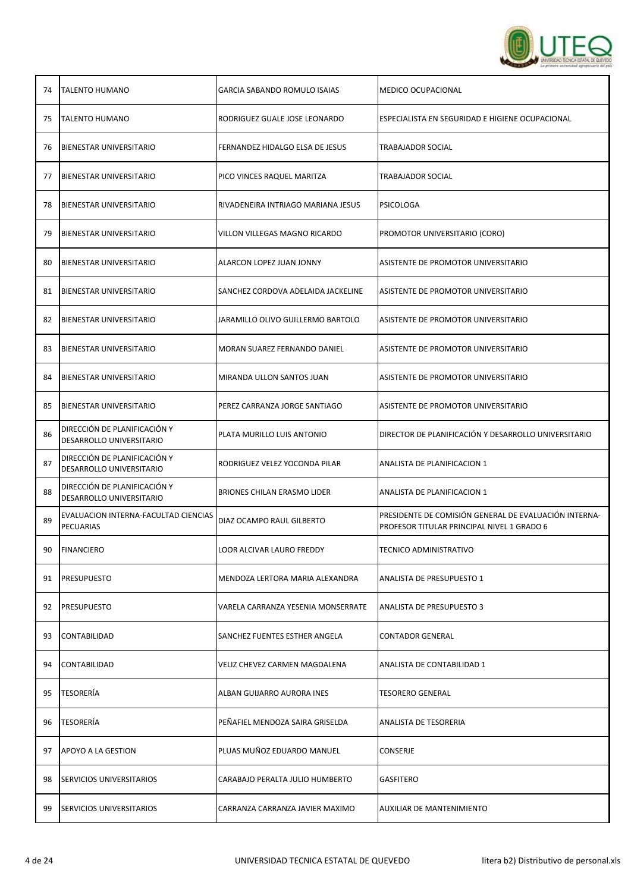

| 74 | <b>TALENTO HUMANO</b>                                    | <b>GARCIA SABANDO ROMULO ISAIAS</b> | <b>MEDICO OCUPACIONAL</b>                                                                           |
|----|----------------------------------------------------------|-------------------------------------|-----------------------------------------------------------------------------------------------------|
| 75 | <b>TALENTO HUMANO</b>                                    | RODRIGUEZ GUALE JOSE LEONARDO       | ESPECIALISTA EN SEGURIDAD E HIGIENE OCUPACIONAL                                                     |
| 76 | <b>BIENESTAR UNIVERSITARIO</b>                           | FERNANDEZ HIDALGO ELSA DE JESUS     | TRABAJADOR SOCIAL                                                                                   |
| 77 | <b>BIENESTAR UNIVERSITARIO</b>                           | PICO VINCES RAQUEL MARITZA          | TRABAJADOR SOCIAL                                                                                   |
| 78 | BIENESTAR UNIVERSITARIO                                  | RIVADENEIRA INTRIAGO MARIANA JESUS  | <b>PSICOLOGA</b>                                                                                    |
| 79 | BIENESTAR UNIVERSITARIO                                  | VILLON VILLEGAS MAGNO RICARDO       | PROMOTOR UNIVERSITARIO (CORO)                                                                       |
| 80 | <b>BIENESTAR UNIVERSITARIO</b>                           | ALARCON LOPEZ JUAN JONNY            | ASISTENTE DE PROMOTOR UNIVERSITARIO                                                                 |
| 81 | BIENESTAR UNIVERSITARIO                                  | SANCHEZ CORDOVA ADELAIDA JACKELINE  | ASISTENTE DE PROMOTOR UNIVERSITARIO                                                                 |
| 82 | <b>BIENESTAR UNIVERSITARIO</b>                           | JARAMILLO OLIVO GUILLERMO BARTOLO   | ASISTENTE DE PROMOTOR UNIVERSITARIO                                                                 |
| 83 | <b>BIENESTAR UNIVERSITARIO</b>                           | MORAN SUAREZ FERNANDO DANIEL        | ASISTENTE DE PROMOTOR UNIVERSITARIO                                                                 |
| 84 | <b>BIENESTAR UNIVERSITARIO</b>                           | MIRANDA ULLON SANTOS JUAN           | ASISTENTE DE PROMOTOR UNIVERSITARIO                                                                 |
| 85 | <b>BIENESTAR UNIVERSITARIO</b>                           | PEREZ CARRANZA JORGE SANTIAGO       | ASISTENTE DE PROMOTOR UNIVERSITARIO                                                                 |
| 86 | DIRECCIÓN DE PLANIFICACIÓN Y<br>DESARROLLO UNIVERSITARIO | PLATA MURILLO LUIS ANTONIO          | DIRECTOR DE PLANIFICACIÓN Y DESARROLLO UNIVERSITARIO                                                |
| 87 | DIRECCIÓN DE PLANIFICACIÓN Y<br>DESARROLLO UNIVERSITARIO | RODRIGUEZ VELEZ YOCONDA PILAR       | ANALISTA DE PLANIFICACION 1                                                                         |
| 88 | DIRECCIÓN DE PLANIFICACIÓN Y<br>DESARROLLO UNIVERSITARIO | BRIONES CHILAN ERASMO LIDER         | ANALISTA DE PLANIFICACION 1                                                                         |
| 89 | EVALUACION INTERNA-FACULTAD CIENCIAS<br>PECUARIAS        | DIAZ OCAMPO RAUL GILBERTO           | PRESIDENTE DE COMISIÓN GENERAL DE EVALUACIÓN INTERNA-<br>PROFESOR TITULAR PRINCIPAL NIVEL 1 GRADO 6 |
| 90 | <b>FINANCIERO</b>                                        | LOOR ALCIVAR LAURO FREDDY           | <b>TECNICO ADMINISTRATIVO</b>                                                                       |
| 91 | <b>PRESUPUESTO</b>                                       | MENDOZA LERTORA MARIA ALEXANDRA     | ANALISTA DE PRESUPUESTO 1                                                                           |
| 92 | <b>PRESUPUESTO</b>                                       | VARELA CARRANZA YESENIA MONSERRATE  | ANALISTA DE PRESUPUESTO 3                                                                           |
| 93 | CONTABILIDAD                                             | SANCHEZ FUENTES ESTHER ANGELA       | <b>CONTADOR GENERAL</b>                                                                             |
| 94 | CONTABILIDAD                                             | VELIZ CHEVEZ CARMEN MAGDALENA       | ANALISTA DE CONTABILIDAD 1                                                                          |
| 95 | <b>TESORERIA</b>                                         | ALBAN GUIJARRO AURORA INES          | <b>TESORERO GENERAL</b>                                                                             |
| 96 | <b>TESORERÍA</b>                                         | PEÑAFIEL MENDOZA SAIRA GRISELDA     | ANALISTA DE TESORERIA                                                                               |
| 97 | APOYO A LA GESTION                                       | PLUAS MUÑOZ EDUARDO MANUEL          | CONSERJE                                                                                            |
| 98 | <b>SERVICIOS UNIVERSITARIOS</b>                          | CARABAJO PERALTA JULIO HUMBERTO     | GASFITERO                                                                                           |
| 99 | <b>SERVICIOS UNIVERSITARIOS</b>                          | CARRANZA CARRANZA JAVIER MAXIMO     | AUXILIAR DE MANTENIMIENTO                                                                           |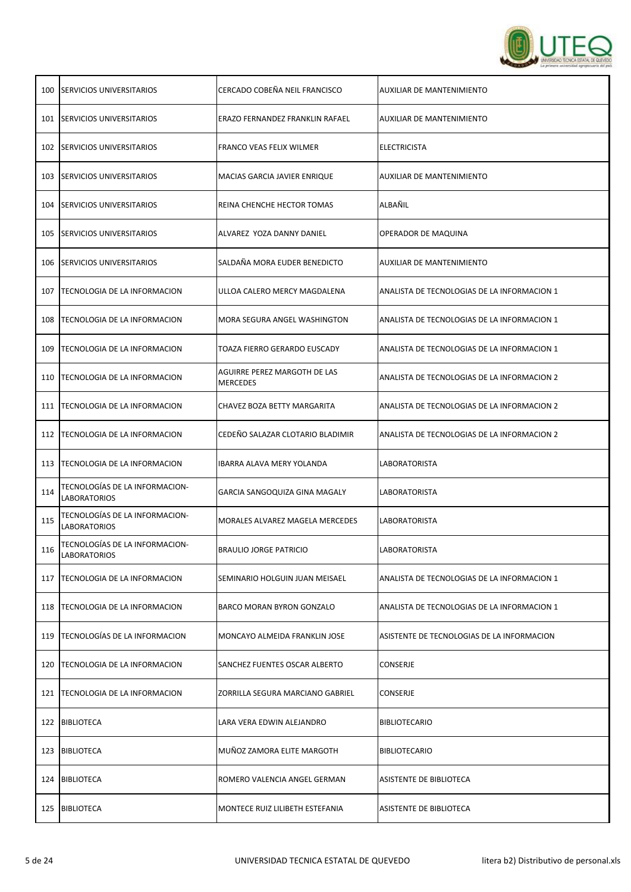

| 100 | <b>SERVICIOS UNIVERSITARIOS</b>                       | CERCADO COBEÑA NEIL FRANCISCO                   | <b>AUXILIAR DE MANTENIMIENTO</b>            |
|-----|-------------------------------------------------------|-------------------------------------------------|---------------------------------------------|
|     | 101 SERVICIOS UNIVERSITARIOS                          | ERAZO FERNANDEZ FRANKLIN RAFAEL                 | AUXILIAR DE MANTENIMIENTO                   |
| 102 | <b>SERVICIOS UNIVERSITARIOS</b>                       | FRANCO VEAS FELIX WILMER                        | <b>ELECTRICISTA</b>                         |
|     | 103 SERVICIOS UNIVERSITARIOS                          | MACIAS GARCIA JAVIER ENRIQUE                    | AUXILIAR DE MANTENIMIENTO                   |
| 104 | <b>SERVICIOS UNIVERSITARIOS</b>                       | REINA CHENCHE HECTOR TOMAS                      | ALBAÑIL                                     |
| 105 | <b>SERVICIOS UNIVERSITARIOS</b>                       | ALVAREZ YOZA DANNY DANIEL                       | OPERADOR DE MAQUINA                         |
|     | 106 SERVICIOS UNIVERSITARIOS                          | SALDAÑA MORA EUDER BENEDICTO                    | <b>AUXILIAR DE MANTENIMIENTO</b>            |
| 107 | TECNOLOGIA DE LA INFORMACION                          | ULLOA CALERO MERCY MAGDALENA                    | ANALISTA DE TECNOLOGIAS DE LA INFORMACION 1 |
| 108 | TECNOLOGIA DE LA INFORMACION                          | MORA SEGURA ANGEL WASHINGTON                    | ANALISTA DE TECNOLOGIAS DE LA INFORMACION 1 |
| 109 | TECNOLOGIA DE LA INFORMACION                          | TOAZA FIERRO GERARDO EUSCADY                    | ANALISTA DE TECNOLOGIAS DE LA INFORMACION 1 |
| 110 | TECNOLOGIA DE LA INFORMACION                          | AGUIRRE PEREZ MARGOTH DE LAS<br><b>MERCEDES</b> | ANALISTA DE TECNOLOGIAS DE LA INFORMACION 2 |
| 111 | TECNOLOGIA DE LA INFORMACION                          | CHAVEZ BOZA BETTY MARGARITA                     | ANALISTA DE TECNOLOGIAS DE LA INFORMACION 2 |
| 112 | TECNOLOGIA DE LA INFORMACION                          | CEDEÑO SALAZAR CLOTARIO BLADIMIR                | ANALISTA DE TECNOLOGIAS DE LA INFORMACION 2 |
|     | 113   TECNOLOGIA DE LA INFORMACION                    | IBARRA ALAVA MERY YOLANDA                       | LABORATORISTA                               |
| 114 | TECNOLOGÍAS DE LA INFORMACION-<br><b>LABORATORIOS</b> | GARCIA SANGOQUIZA GINA MAGALY                   | <b>LABORATORISTA</b>                        |
| 115 | TECNOLOGÍAS DE LA INFORMACION-<br><b>LABORATORIOS</b> | MORALES ALVAREZ MAGELA MERCEDES                 | LABORATORISTA                               |
| 116 | TECNOLOGIAS DE LA INFORMACION-<br>LABORATORIOS        | <b>BRAULIO JORGE PATRICIO</b>                   | <b>LABORATORISTA</b>                        |
|     | 117   TECNOLOGIA DE LA INFORMACION                    | SEMINARIO HOLGUIN JUAN MEISAEL                  | ANALISTA DE TECNOLOGIAS DE LA INFORMACION 1 |
| 118 | <b>TECNOLOGIA DE LA INFORMACION</b>                   | BARCO MORAN BYRON GONZALO                       | ANALISTA DE TECNOLOGIAS DE LA INFORMACION 1 |
| 119 | TECNOLOGÍAS DE LA INFORMACION                         | MONCAYO ALMEIDA FRANKLIN JOSE                   | ASISTENTE DE TECNOLOGIAS DE LA INFORMACION  |
| 120 | <b>TECNOLOGIA DE LA INFORMACION</b>                   | SANCHEZ FUENTES OSCAR ALBERTO                   | CONSERJE                                    |
| 121 | <b>TECNOLOGIA DE LA INFORMACION</b>                   | ZORRILLA SEGURA MARCIANO GABRIEL                | CONSERJE                                    |
|     | 122 BIBLIOTECA                                        | LARA VERA EDWIN ALEJANDRO                       | <b>BIBLIOTECARIO</b>                        |
| 123 | <b>BIBLIOTECA</b>                                     | MUÑOZ ZAMORA ELITE MARGOTH                      | <b>BIBLIOTECARIO</b>                        |
|     | 124   BIBLIOTECA                                      | ROMERO VALENCIA ANGEL GERMAN                    | ASISTENTE DE BIBLIOTECA                     |
|     | 125 BIBLIOTECA                                        | MONTECE RUIZ LILIBETH ESTEFANIA                 | ASISTENTE DE BIBLIOTECA                     |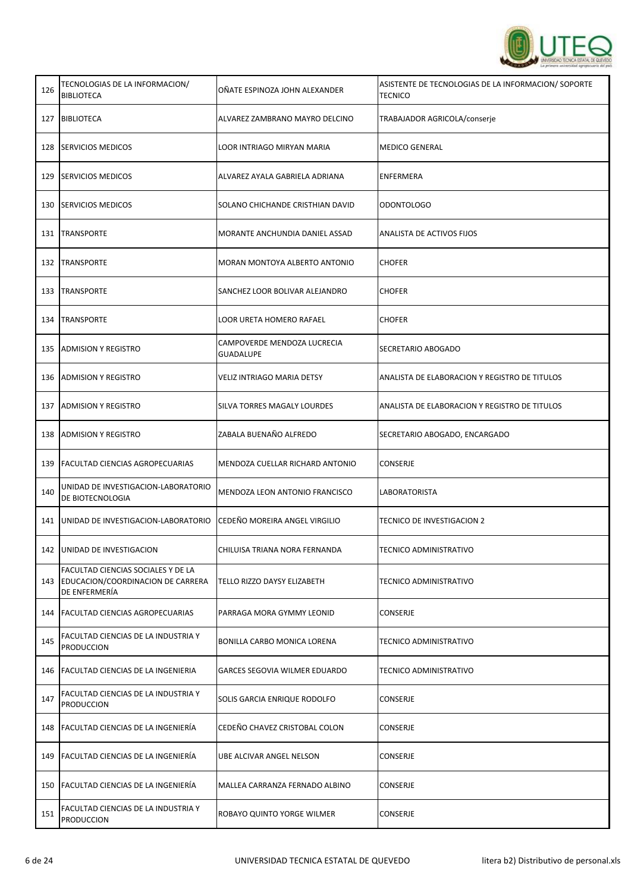

| 126 | TECNOLOGIAS DE LA INFORMACION/<br><b>BIBLIOTECA</b>                                      | OÑATE ESPINOZA JOHN ALEXANDER                   | ASISTENTE DE TECNOLOGIAS DE LA INFORMACION/SOPORTE<br>TECNICO |
|-----|------------------------------------------------------------------------------------------|-------------------------------------------------|---------------------------------------------------------------|
| 127 | <b>BIBLIOTECA</b>                                                                        | ALVAREZ ZAMBRANO MAYRO DELCINO                  | TRABAJADOR AGRICOLA/conserje                                  |
| 128 | <b>SERVICIOS MEDICOS</b>                                                                 | <b>LOOR INTRIAGO MIRYAN MARIA</b>               | <b>MEDICO GENERAL</b>                                         |
| 129 | SERVICIOS MEDICOS                                                                        | ALVAREZ AYALA GABRIELA ADRIANA                  | ENFERMERA                                                     |
| 130 | <b>SERVICIOS MEDICOS</b>                                                                 | SOLANO CHICHANDE CRISTHIAN DAVID                | <b>ODONTOLOGO</b>                                             |
| 131 | <b>TRANSPORTE</b>                                                                        | MORANTE ANCHUNDIA DANIEL ASSAD                  | ANALISTA DE ACTIVOS FIJOS                                     |
| 132 | <b>TRANSPORTE</b>                                                                        | MORAN MONTOYA ALBERTO ANTONIO                   | <b>CHOFER</b>                                                 |
| 133 | <b>TRANSPORTE</b>                                                                        | SANCHEZ LOOR BOLIVAR ALEJANDRO                  | <b>CHOFER</b>                                                 |
| 134 | <b>TRANSPORTE</b>                                                                        | LOOR URETA HOMERO RAFAEL                        | <b>CHOFER</b>                                                 |
| 135 | <b>ADMISION Y REGISTRO</b>                                                               | CAMPOVERDE MENDOZA LUCRECIA<br><b>GUADALUPE</b> | SECRETARIO ABOGADO                                            |
| 136 | <b>ADMISION Y REGISTRO</b>                                                               | VELIZ INTRIAGO MARIA DETSY                      | ANALISTA DE ELABORACION Y REGISTRO DE TITULOS                 |
| 137 | <b>ADMISION Y REGISTRO</b>                                                               | SILVA TORRES MAGALY LOURDES                     | ANALISTA DE ELABORACION Y REGISTRO DE TITULOS                 |
| 138 | <b>ADMISION Y REGISTRO</b>                                                               | ZABALA BUENAÑO ALFREDO                          | SECRETARIO ABOGADO, ENCARGADO                                 |
| 139 | FACULTAD CIENCIAS AGROPECUARIAS                                                          | MENDOZA CUELLAR RICHARD ANTONIO                 | <b>CONSERJE</b>                                               |
| 140 | UNIDAD DE INVESTIGACION-LABORATORIO<br>DE BIOTECNOLOGIA                                  | MENDOZA LEON ANTONIO FRANCISCO                  | LABORATORISTA                                                 |
| 141 | UNIDAD DE INVESTIGACION-LABORATORIO                                                      | CEDEÑO MOREIRA ANGEL VIRGILIO                   | TECNICO DE INVESTIGACION 2                                    |
|     | 142   UNIDAD DE INVESTIGACION                                                            | CHILUISA TRIANA NORA FERNANDA                   | <b>TECNICO ADMINISTRATIVO</b>                                 |
| 143 | FACULTAD CIENCIAS SOCIALES Y DE LA<br>EDUCACION/COORDINACION DE CARRERA<br>DE ENFERMERÍA | TELLO RIZZO DAYSY ELIZABETH                     | TECNICO ADMINISTRATIVO                                        |
| 144 | <b>FACULTAD CIENCIAS AGROPECUARIAS</b>                                                   | PARRAGA MORA GYMMY LEONID                       | <b>CONSERJE</b>                                               |
| 145 | FACULTAD CIENCIAS DE LA INDUSTRIA Y<br><b>PRODUCCION</b>                                 | BONILLA CARBO MONICA LORENA                     | TECNICO ADMINISTRATIVO                                        |
|     | 146   FACULTAD CIENCIAS DE LA INGENIERIA                                                 | GARCES SEGOVIA WILMER EDUARDO                   | <b>TECNICO ADMINISTRATIVO</b>                                 |
| 147 | FACULTAD CIENCIAS DE LA INDUSTRIA Y<br><b>PRODUCCION</b>                                 | SOLIS GARCIA ENRIQUE RODOLFO                    | <b>CONSERJE</b>                                               |
| 148 | <b>FACULTAD CIENCIAS DE LA INGENIERÍA</b>                                                | CEDEÑO CHAVEZ CRISTOBAL COLON                   | CONSERJE                                                      |
| 149 | FACULTAD CIENCIAS DE LA INGENIERÍA                                                       | UBE ALCIVAR ANGEL NELSON                        | CONSERJE                                                      |
| 150 | FACULTAD CIENCIAS DE LA INGENIERÍA                                                       | MALLEA CARRANZA FERNADO ALBINO                  | <b>CONSERJE</b>                                               |
| 151 | FACULTAD CIENCIAS DE LA INDUSTRIA Y<br><b>PRODUCCION</b>                                 | ROBAYO QUINTO YORGE WILMER                      | CONSERJE                                                      |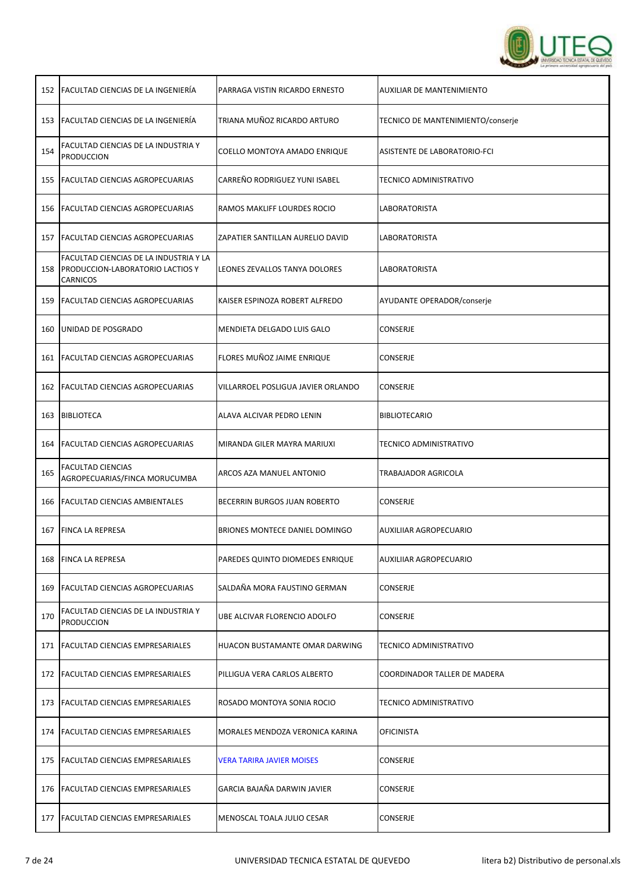

|                                                           | PARRAGA VISTIN RICARDO ERNESTO                                                                                                                                                                                                                                                                                                                                                                                                                                                                                                                                                                                                                                                                                                                                                                                                                                                                                    | AUXILIAR DE MANTENIMIENTO         |
|-----------------------------------------------------------|-------------------------------------------------------------------------------------------------------------------------------------------------------------------------------------------------------------------------------------------------------------------------------------------------------------------------------------------------------------------------------------------------------------------------------------------------------------------------------------------------------------------------------------------------------------------------------------------------------------------------------------------------------------------------------------------------------------------------------------------------------------------------------------------------------------------------------------------------------------------------------------------------------------------|-----------------------------------|
|                                                           | TRIANA MUÑOZ RICARDO ARTURO                                                                                                                                                                                                                                                                                                                                                                                                                                                                                                                                                                                                                                                                                                                                                                                                                                                                                       | TECNICO DE MANTENIMIENTO/conserje |
| FACULTAD CIENCIAS DE LA INDUSTRIA Y<br><b>PRODUCCION</b>  | COELLO MONTOYA AMADO ENRIQUE                                                                                                                                                                                                                                                                                                                                                                                                                                                                                                                                                                                                                                                                                                                                                                                                                                                                                      | ASISTENTE DE LABORATORIO-FCI      |
|                                                           | CARREÑO RODRIGUEZ YUNI ISABEL                                                                                                                                                                                                                                                                                                                                                                                                                                                                                                                                                                                                                                                                                                                                                                                                                                                                                     | <b>TECNICO ADMINISTRATIVO</b>     |
|                                                           | RAMOS MAKLIFF LOURDES ROCIO                                                                                                                                                                                                                                                                                                                                                                                                                                                                                                                                                                                                                                                                                                                                                                                                                                                                                       | LABORATORISTA                     |
|                                                           | ZAPATIER SANTILLAN AURELIO DAVID                                                                                                                                                                                                                                                                                                                                                                                                                                                                                                                                                                                                                                                                                                                                                                                                                                                                                  | LABORATORISTA                     |
| FACULTAD CIENCIAS DE LA INDUSTRIA Y LA<br><b>CARNICOS</b> | LEONES ZEVALLOS TANYA DOLORES                                                                                                                                                                                                                                                                                                                                                                                                                                                                                                                                                                                                                                                                                                                                                                                                                                                                                     | LABORATORISTA                     |
|                                                           | KAISER ESPINOZA ROBERT ALFREDO                                                                                                                                                                                                                                                                                                                                                                                                                                                                                                                                                                                                                                                                                                                                                                                                                                                                                    | AYUDANTE OPERADOR/conserje        |
|                                                           | MENDIETA DELGADO LUIS GALO                                                                                                                                                                                                                                                                                                                                                                                                                                                                                                                                                                                                                                                                                                                                                                                                                                                                                        | CONSERJE                          |
|                                                           | FLORES MUÑOZ JAIME ENRIQUE                                                                                                                                                                                                                                                                                                                                                                                                                                                                                                                                                                                                                                                                                                                                                                                                                                                                                        | <b>CONSERJE</b>                   |
|                                                           | VILLARROEL POSLIGUA JAVIER ORLANDO                                                                                                                                                                                                                                                                                                                                                                                                                                                                                                                                                                                                                                                                                                                                                                                                                                                                                | CONSERJE                          |
|                                                           | ALAVA ALCIVAR PEDRO LENIN                                                                                                                                                                                                                                                                                                                                                                                                                                                                                                                                                                                                                                                                                                                                                                                                                                                                                         | <b>BIBLIOTECARIO</b>              |
|                                                           | MIRANDA GILER MAYRA MARIUXI                                                                                                                                                                                                                                                                                                                                                                                                                                                                                                                                                                                                                                                                                                                                                                                                                                                                                       | TECNICO ADMINISTRATIVO            |
| <b>FACULTAD CIENCIAS</b><br>AGROPECUARIAS/FINCA MORUCUMBA | ARCOS AZA MANUEL ANTONIO                                                                                                                                                                                                                                                                                                                                                                                                                                                                                                                                                                                                                                                                                                                                                                                                                                                                                          | TRABAJADOR AGRICOLA               |
|                                                           | BECERRIN BURGOS JUAN ROBERTO                                                                                                                                                                                                                                                                                                                                                                                                                                                                                                                                                                                                                                                                                                                                                                                                                                                                                      | CONSERJE                          |
|                                                           | BRIONES MONTECE DANIEL DOMINGO                                                                                                                                                                                                                                                                                                                                                                                                                                                                                                                                                                                                                                                                                                                                                                                                                                                                                    | AUXILIIAR AGROPECUARIO            |
|                                                           | PAREDES QUINTO DIOMEDES ENRIQUE                                                                                                                                                                                                                                                                                                                                                                                                                                                                                                                                                                                                                                                                                                                                                                                                                                                                                   | AUXILIIAR AGROPECUARIO            |
|                                                           | SALDAÑA MORA FAUSTINO GERMAN                                                                                                                                                                                                                                                                                                                                                                                                                                                                                                                                                                                                                                                                                                                                                                                                                                                                                      | CONSERJE                          |
| FACULTAD CIENCIAS DE LA INDUSTRIA Y<br><b>PRODUCCION</b>  | UBE ALCIVAR FLORENCIO ADOLFO                                                                                                                                                                                                                                                                                                                                                                                                                                                                                                                                                                                                                                                                                                                                                                                                                                                                                      | CONSERJE                          |
|                                                           | HUACON BUSTAMANTE OMAR DARWING                                                                                                                                                                                                                                                                                                                                                                                                                                                                                                                                                                                                                                                                                                                                                                                                                                                                                    | TECNICO ADMINISTRATIVO            |
|                                                           | PILLIGUA VERA CARLOS ALBERTO                                                                                                                                                                                                                                                                                                                                                                                                                                                                                                                                                                                                                                                                                                                                                                                                                                                                                      | COORDINADOR TALLER DE MADERA      |
|                                                           | ROSADO MONTOYA SONIA ROCIO                                                                                                                                                                                                                                                                                                                                                                                                                                                                                                                                                                                                                                                                                                                                                                                                                                                                                        | TECNICO ADMINISTRATIVO            |
|                                                           | MORALES MENDOZA VERONICA KARINA                                                                                                                                                                                                                                                                                                                                                                                                                                                                                                                                                                                                                                                                                                                                                                                                                                                                                   | <b>OFICINISTA</b>                 |
|                                                           | <b>VERA TARIRA JAVIER MOISES</b>                                                                                                                                                                                                                                                                                                                                                                                                                                                                                                                                                                                                                                                                                                                                                                                                                                                                                  | CONSERJE                          |
|                                                           | GARCIA BAJAÑA DARWIN JAVIER                                                                                                                                                                                                                                                                                                                                                                                                                                                                                                                                                                                                                                                                                                                                                                                                                                                                                       | CONSERJE                          |
|                                                           | MENOSCAL TOALA JULIO CESAR                                                                                                                                                                                                                                                                                                                                                                                                                                                                                                                                                                                                                                                                                                                                                                                                                                                                                        | CONSERJE                          |
|                                                           | 152   FACULTAD CIENCIAS DE LA INGENIERÍA<br><b>FACULTAD CIENCIAS DE LA INGENIERÍA</b><br>155   FACULTAD CIENCIAS AGROPECUARIAS<br><b>FACULTAD CIENCIAS AGROPECUARIAS</b><br>157   FACULTAD CIENCIAS AGROPECUARIAS<br>158   PRODUCCION-LABORATORIO LACTIOS Y<br><b>FACULTAD CIENCIAS AGROPECUARIAS</b><br>UNIDAD DE POSGRADO<br>161   FACULTAD CIENCIAS AGROPECUARIAS<br><b>FACULTAD CIENCIAS AGROPECUARIAS</b><br><b>BIBLIOTECA</b><br>FACULTAD CIENCIAS AGROPECUARIAS<br><b>FACULTAD CIENCIAS AMBIENTALES</b><br><b>FINCA LA REPRESA</b><br><b>FINCA LA REPRESA</b><br><b>FACULTAD CIENCIAS AGROPECUARIAS</b><br>171   FACULTAD CIENCIAS EMPRESARIALES<br><b>FACULTAD CIENCIAS EMPRESARIALES</b><br>173   FACULTAD CIENCIAS EMPRESARIALES<br><b>FACULTAD CIENCIAS EMPRESARIALES</b><br><b>FACULTAD CIENCIAS EMPRESARIALES</b><br><b>FACULTAD CIENCIAS EMPRESARIALES</b><br>177   FACULTAD CIENCIAS EMPRESARIALES |                                   |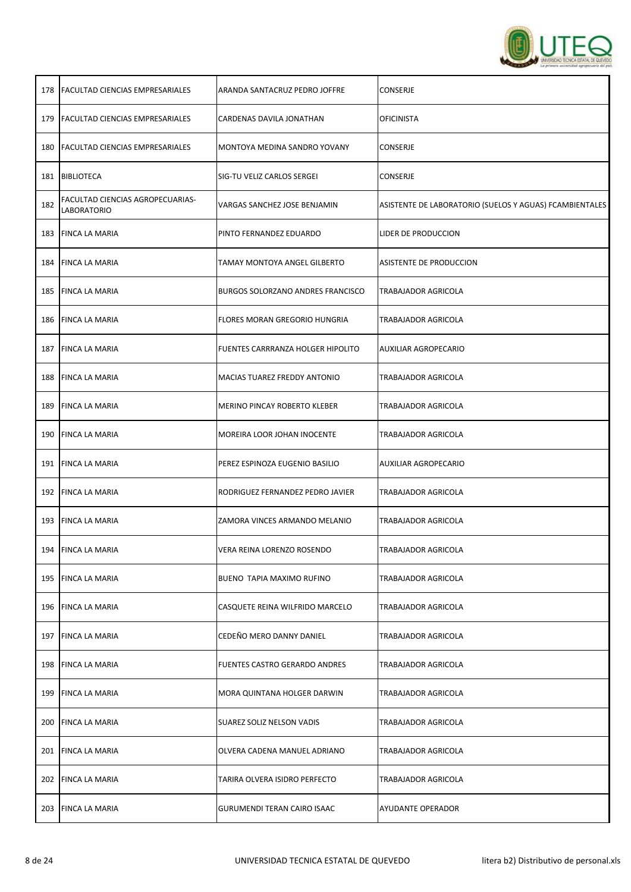

| 178 | <b>FACULTAD CIENCIAS EMPRESARIALES</b>                 | ARANDA SANTACRUZ PEDRO JOFFRE     | CONSERJE                                                |
|-----|--------------------------------------------------------|-----------------------------------|---------------------------------------------------------|
| 179 | <b>FACULTAD CIENCIAS EMPRESARIALES</b>                 | CARDENAS DAVILA JONATHAN          | OFICINISTA                                              |
| 180 | <b>FACULTAD CIENCIAS EMPRESARIALES</b>                 | MONTOYA MEDINA SANDRO YOVANY      | CONSERJE                                                |
| 181 | BIBLIOTECA                                             | SIG-TU VELIZ CARLOS SERGEI        | CONSERJE                                                |
| 182 | FACULTAD CIENCIAS AGROPECUARIAS-<br><b>LABORATORIO</b> | VARGAS SANCHEZ JOSE BENJAMIN      | ASISTENTE DE LABORATORIO (SUELOS Y AGUAS) FCAMBIENTALES |
| 183 | <b>FINCA LA MARIA</b>                                  | PINTO FERNANDEZ EDUARDO           | LIDER DE PRODUCCION                                     |
|     | 184 FINCA LA MARIA                                     | TAMAY MONTOYA ANGEL GILBERTO      | ASISTENTE DE PRODUCCION                                 |
| 185 | <b>FINCA LA MARIA</b>                                  | BURGOS SOLORZANO ANDRES FRANCISCO | TRABAJADOR AGRICOLA                                     |
| 186 | <b>FINCA LA MARIA</b>                                  | FLORES MORAN GREGORIO HUNGRIA     | TRABAJADOR AGRICOLA                                     |
| 187 | <b>FINCA LA MARIA</b>                                  | FUENTES CARRRANZA HOLGER HIPOLITO | AUXILIAR AGROPECARIO                                    |
| 188 | <b>FINCA LA MARIA</b>                                  | MACIAS TUAREZ FREDDY ANTONIO      | TRABAJADOR AGRICOLA                                     |
| 189 | <b>FINCA LA MARIA</b>                                  | MERINO PINCAY ROBERTO KLEBER      | TRABAJADOR AGRICOLA                                     |
| 190 | <b>FINCA LA MARIA</b>                                  | MOREIRA LOOR JOHAN INOCENTE       | TRABAJADOR AGRICOLA                                     |
| 191 | <b>FINCA LA MARIA</b>                                  | PEREZ ESPINOZA EUGENIO BASILIO    | AUXILIAR AGROPECARIO                                    |
|     | 192   FINCA LA MARIA                                   | RODRIGUEZ FERNANDEZ PEDRO JAVIER  | TRABAJADOR AGRICOLA                                     |
|     | 193 FINCA LA MARIA                                     | ZAMORA VINCES ARMANDO MELANIO     | TRABAJADOR AGRICOLA                                     |
|     | 194 FINCA LA MARIA                                     | VERA REINA LORENZO ROSENDO        | <b>TRABAJADOR AGRICOLA</b>                              |
| 195 | <b>FINCA LA MARIA</b>                                  | BUENO TAPIA MAXIMO RUFINO         | TRABAJADOR AGRICOLA                                     |
| 196 | <b>FINCA LA MARIA</b>                                  | CASQUETE REINA WILFRIDO MARCELO   | TRABAJADOR AGRICOLA                                     |
| 197 | <b>FINCA LA MARIA</b>                                  | CEDEÑO MERO DANNY DANIEL          | TRABAJADOR AGRICOLA                                     |
| 198 | <b>FINCA LA MARIA</b>                                  | FUENTES CASTRO GERARDO ANDRES     | TRABAJADOR AGRICOLA                                     |
| 199 | <b>FINCA LA MARIA</b>                                  | MORA QUINTANA HOLGER DARWIN       | TRABAJADOR AGRICOLA                                     |
| 200 | <b>FINCA LA MARIA</b>                                  | SUAREZ SOLIZ NELSON VADIS         | TRABAJADOR AGRICOLA                                     |
|     | 201 FINCA LA MARIA                                     | OLVERA CADENA MANUEL ADRIANO      | TRABAJADOR AGRICOLA                                     |
| 202 | <b>FINCA LA MARIA</b>                                  | TARIRA OLVERA ISIDRO PERFECTO     | TRABAJADOR AGRICOLA                                     |
|     | 203 FINCA LA MARIA                                     | GURUMENDI TERAN CAIRO ISAAC       | AYUDANTE OPERADOR                                       |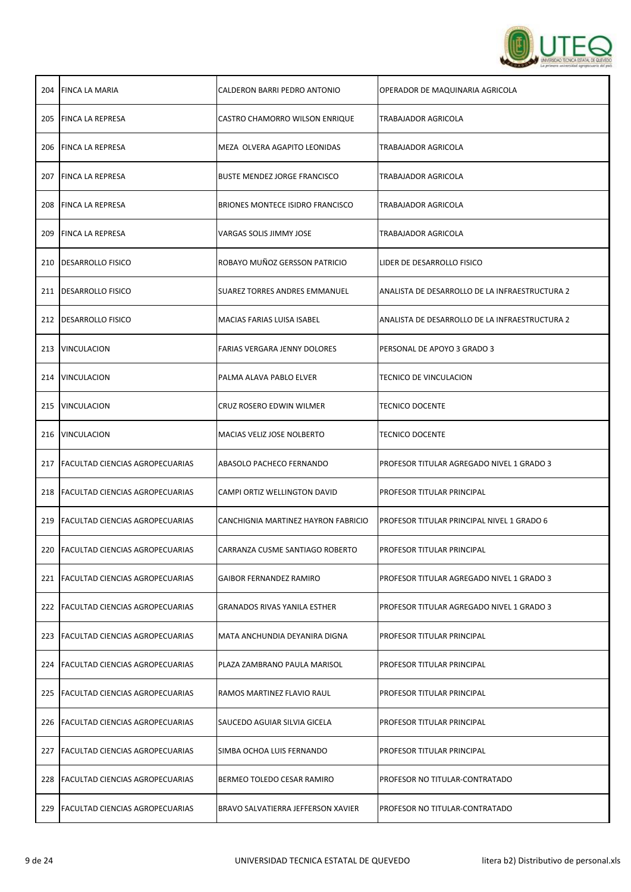

| 204 | <b>FINCA LA MARIA</b>                   | CALDERON BARRI PEDRO ANTONIO        | OPERADOR DE MAQUINARIA AGRICOLA                |
|-----|-----------------------------------------|-------------------------------------|------------------------------------------------|
| 205 | <b>FINCA LA REPRESA</b>                 | CASTRO CHAMORRO WILSON ENRIQUE      | TRABAJADOR AGRICOLA                            |
| 206 | FINCA LA REPRESA                        | MEZA OLVERA AGAPITO LEONIDAS        | TRABAJADOR AGRICOLA                            |
| 207 | <b>FINCA LA REPRESA</b>                 | <b>BUSTE MENDEZ JORGE FRANCISCO</b> | TRABAJADOR AGRICOLA                            |
| 208 | <b>FINCA LA REPRESA</b>                 | BRIONES MONTECE ISIDRO FRANCISCO    | TRABAJADOR AGRICOLA                            |
| 209 | <b>FINCA LA REPRESA</b>                 | VARGAS SOLIS JIMMY JOSE             | TRABAJADOR AGRICOLA                            |
| 210 | <b>DESARROLLO FISICO</b>                | ROBAYO MUÑOZ GERSSON PATRICIO       | LIDER DE DESARROLLO FISICO                     |
| 211 | DESARROLLO FISICO                       | SUAREZ TORRES ANDRES EMMANUEL       | ANALISTA DE DESARROLLO DE LA INFRAESTRUCTURA 2 |
| 212 | <b>DESARROLLO FISICO</b>                | MACIAS FARIAS LUISA ISABEL          | ANALISTA DE DESARROLLO DE LA INFRAESTRUCTURA 2 |
| 213 | <b>VINCULACION</b>                      | FARIAS VERGARA JENNY DOLORES        | PERSONAL DE APOYO 3 GRADO 3                    |
| 214 | VINCULACION                             | PALMA ALAVA PABLO ELVER             | TECNICO DE VINCULACION                         |
| 215 | VINCULACION                             | CRUZ ROSERO EDWIN WILMER            | <b>TECNICO DOCENTE</b>                         |
| 216 | <b>VINCULACION</b>                      | MACIAS VELIZ JOSE NOLBERTO          | <b>TECNICO DOCENTE</b>                         |
|     | 217   FACULTAD CIENCIAS AGROPECUARIAS   | ABASOLO PACHECO FERNANDO            | PROFESOR TITULAR AGREGADO NIVEL 1 GRADO 3      |
| 218 | <b>FACULTAD CIENCIAS AGROPECUARIAS</b>  | CAMPI ORTIZ WELLINGTON DAVID        | PROFESOR TITULAR PRINCIPAL                     |
| 219 | <b>FACULTAD CIENCIAS AGROPECUARIAS</b>  | CANCHIGNIA MARTINEZ HAYRON FABRICIO | PROFESOR TITULAR PRINCIPAL NIVEL 1 GRADO 6     |
| 220 | <b>FACULTAD CIENCIAS AGROPECUARIAS</b>  | CARRANZA CUSME SANTIAGO ROBERTO     | PROFESOR TITULAR PRINCIPAL                     |
| 221 | <b>IFACULTAD CIENCIAS AGROPECUARIAS</b> | <b>GAIBOR FERNANDEZ RAMIRO</b>      | PROFESOR TITULAR AGREGADO NIVEL 1 GRADO 3      |
|     | 222 FACULTAD CIENCIAS AGROPECUARIAS     | <b>GRANADOS RIVAS YANILA ESTHER</b> | PROFESOR TITULAR AGREGADO NIVEL 1 GRADO 3      |
| 223 | <b>FACULTAD CIENCIAS AGROPECUARIAS</b>  | MATA ANCHUNDIA DEYANIRA DIGNA       | PROFESOR TITULAR PRINCIPAL                     |
|     | 224   FACULTAD CIENCIAS AGROPECUARIAS   | PLAZA ZAMBRANO PAULA MARISOL        | PROFESOR TITULAR PRINCIPAL                     |
| 225 | <b>FACULTAD CIENCIAS AGROPECUARIAS</b>  | RAMOS MARTINEZ FLAVIO RAUL          | PROFESOR TITULAR PRINCIPAL                     |
|     | 226   FACULTAD CIENCIAS AGROPECUARIAS   | SAUCEDO AGUIAR SILVIA GICELA        | PROFESOR TITULAR PRINCIPAL                     |
| 227 | <b>FACULTAD CIENCIAS AGROPECUARIAS</b>  | SIMBA OCHOA LUIS FERNANDO           | PROFESOR TITULAR PRINCIPAL                     |
|     | 228   FACULTAD CIENCIAS AGROPECUARIAS   | BERMEO TOLEDO CESAR RAMIRO          | PROFESOR NO TITULAR-CONTRATADO                 |
| 229 | <b>FACULTAD CIENCIAS AGROPECUARIAS</b>  | BRAVO SALVATIERRA JEFFERSON XAVIER  | PROFESOR NO TITULAR-CONTRATADO                 |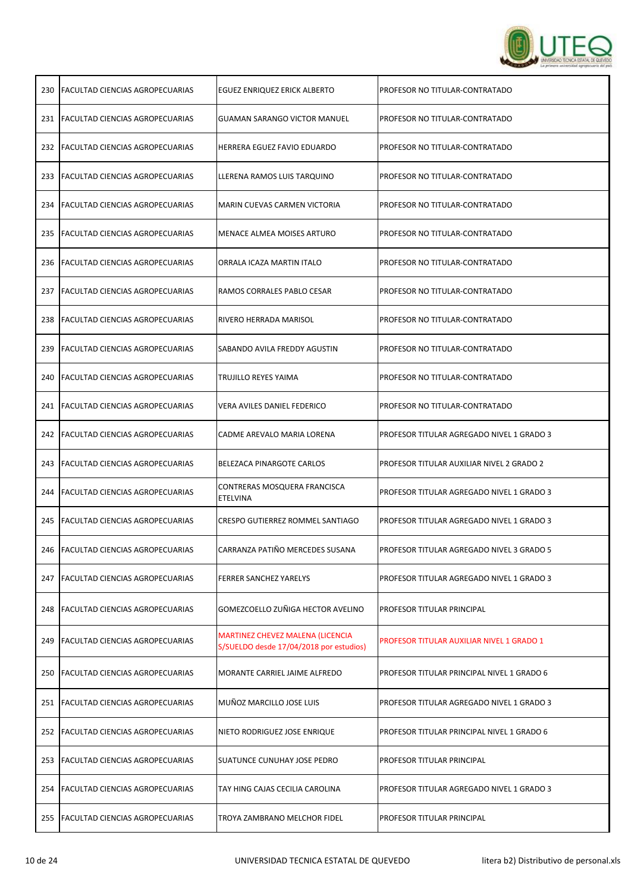

| 230 | <b>FACULTAD CIENCIAS AGROPECUARIAS</b> | EGUEZ ENRIQUEZ ERICK ALBERTO                                                | PROFESOR NO TITULAR-CONTRATADO                   |
|-----|----------------------------------------|-----------------------------------------------------------------------------|--------------------------------------------------|
|     | 231 FACULTAD CIENCIAS AGROPECUARIAS    | GUAMAN SARANGO VICTOR MANUEL                                                | PROFESOR NO TITULAR-CONTRATADO                   |
|     | 232 FACULTAD CIENCIAS AGROPECUARIAS    | HERRERA EGUEZ FAVIO EDUARDO                                                 | PROFESOR NO TITULAR-CONTRATADO                   |
|     | 233   FACULTAD CIENCIAS AGROPECUARIAS  | LLERENA RAMOS LUIS TARQUINO                                                 | PROFESOR NO TITULAR-CONTRATADO                   |
|     | 234   FACULTAD CIENCIAS AGROPECUARIAS  | MARIN CUEVAS CARMEN VICTORIA                                                | PROFESOR NO TITULAR-CONTRATADO                   |
|     | 235   FACULTAD CIENCIAS AGROPECUARIAS  | MENACE ALMEA MOISES ARTURO                                                  | PROFESOR NO TITULAR-CONTRATADO                   |
|     | 236   FACULTAD CIENCIAS AGROPECUARIAS  | ORRALA ICAZA MARTIN ITALO                                                   | PROFESOR NO TITULAR-CONTRATADO                   |
| 237 | FACULTAD CIENCIAS AGROPECUARIAS        | RAMOS CORRALES PABLO CESAR                                                  | PROFESOR NO TITULAR-CONTRATADO                   |
|     | 238   FACULTAD CIENCIAS AGROPECUARIAS  | RIVERO HERRADA MARISOL                                                      | PROFESOR NO TITULAR-CONTRATADO                   |
|     | 239 FACULTAD CIENCIAS AGROPECUARIAS    | SABANDO AVILA FREDDY AGUSTIN                                                | PROFESOR NO TITULAR-CONTRATADO                   |
|     | 240   FACULTAD CIENCIAS AGROPECUARIAS  | TRUJILLO REYES YAIMA                                                        | PROFESOR NO TITULAR-CONTRATADO                   |
| 241 | <b>FACULTAD CIENCIAS AGROPECUARIAS</b> | VERA AVILES DANIEL FEDERICO                                                 | PROFESOR NO TITULAR-CONTRATADO                   |
|     | 242 FACULTAD CIENCIAS AGROPECUARIAS    | CADME AREVALO MARIA LORENA                                                  | PROFESOR TITULAR AGREGADO NIVEL 1 GRADO 3        |
|     | 243   FACULTAD CIENCIAS AGROPECUARIAS  | BELEZACA PINARGOTE CARLOS                                                   | PROFESOR TITULAR AUXILIAR NIVEL 2 GRADO 2        |
|     | 244   FACULTAD CIENCIAS AGROPECUARIAS  | CONTRERAS MOSQUERA FRANCISCA<br>ETELVINA                                    | PROFESOR TITULAR AGREGADO NIVEL 1 GRADO 3        |
|     | 245   FACULTAD CIENCIAS AGROPECUARIAS  | CRESPO GUTIERREZ ROMMEL SANTIAGO                                            | PROFESOR TITULAR AGREGADO NIVEL 1 GRADO 3        |
|     | 246   FACULTAD CIENCIAS AGROPECUARIAS  | CARRANZA PATIÑO MERCEDES SUSANA                                             | PROFESOR TITULAR AGREGADO NIVEL 3 GRADO 5        |
| 247 | <b>FACULTAD CIENCIAS AGROPECUARIAS</b> | <b>FERRER SANCHEZ YARELYS</b>                                               | PROFESOR TITULAR AGREGADO NIVEL 1 GRADO 3        |
| 248 | <b>FACULTAD CIENCIAS AGROPECUARIAS</b> | GOMEZCOELLO ZUÑIGA HECTOR AVELINO                                           | PROFESOR TITULAR PRINCIPAL                       |
| 249 | <b>FACULTAD CIENCIAS AGROPECUARIAS</b> | MARTINEZ CHEVEZ MALENA (LICENCIA<br>S/SUELDO desde 17/04/2018 por estudios) | <b>PROFESOR TITULAR AUXILIAR NIVEL 1 GRADO 1</b> |
| 250 | <b>FACULTAD CIENCIAS AGROPECUARIAS</b> | MORANTE CARRIEL JAIME ALFREDO                                               | PROFESOR TITULAR PRINCIPAL NIVEL 1 GRADO 6       |
|     | 251   FACULTAD CIENCIAS AGROPECUARIAS  | MUÑOZ MARCILLO JOSE LUIS                                                    | PROFESOR TITULAR AGREGADO NIVEL 1 GRADO 3        |
|     | 252 FACULTAD CIENCIAS AGROPECUARIAS    | NIETO RODRIGUEZ JOSE ENRIQUE                                                | PROFESOR TITULAR PRINCIPAL NIVEL 1 GRADO 6       |
| 253 | <b>FACULTAD CIENCIAS AGROPECUARIAS</b> | SUATUNCE CUNUHAY JOSE PEDRO                                                 | PROFESOR TITULAR PRINCIPAL                       |
| 254 | <b>FACULTAD CIENCIAS AGROPECUARIAS</b> | TAY HING CAJAS CECILIA CAROLINA                                             | PROFESOR TITULAR AGREGADO NIVEL 1 GRADO 3        |
| 255 | <b>FACULTAD CIENCIAS AGROPECUARIAS</b> | TROYA ZAMBRANO MELCHOR FIDEL                                                | PROFESOR TITULAR PRINCIPAL                       |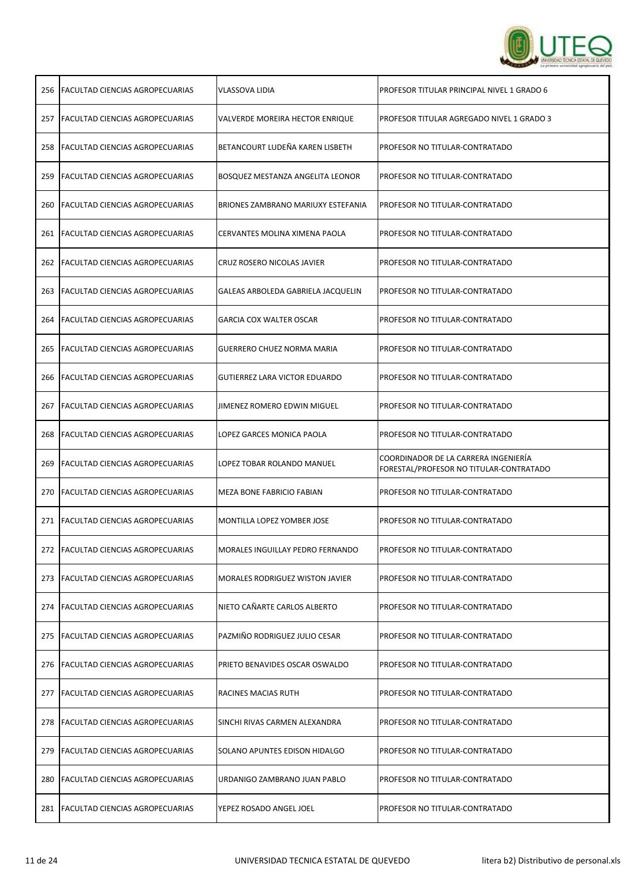

| 256 | <b>FACULTAD CIENCIAS AGROPECUARIAS</b>  | VLASSOVA LIDIA                         | PROFESOR TITULAR PRINCIPAL NIVEL 1 GRADO 6                                      |
|-----|-----------------------------------------|----------------------------------------|---------------------------------------------------------------------------------|
|     | 257   FACULTAD CIENCIAS AGROPECUARIAS   | VALVERDE MOREIRA HECTOR ENRIQUE        | PROFESOR TITULAR AGREGADO NIVEL 1 GRADO 3                                       |
|     | 258   FACULTAD CIENCIAS AGROPECUARIAS   | BETANCOURT LUDEÑA KAREN LISBETH        | PROFESOR NO TITULAR-CONTRATADO                                                  |
|     | 259   FACULTAD CIENCIAS AGROPECUARIAS   | BOSQUEZ MESTANZA ANGELITA LEONOR       | PROFESOR NO TITULAR-CONTRATADO                                                  |
| 260 | <b>FACULTAD CIENCIAS AGROPECUARIAS</b>  | BRIONES ZAMBRANO MARIUXY ESTEFANIA     | PROFESOR NO TITULAR-CONTRATADO                                                  |
| 261 | FACULTAD CIENCIAS AGROPECUARIAS         | CERVANTES MOLINA XIMENA PAOLA          | PROFESOR NO TITULAR-CONTRATADO                                                  |
|     | 262   FACULTAD CIENCIAS AGROPECUARIAS   | CRUZ ROSERO NICOLAS JAVIER             | PROFESOR NO TITULAR-CONTRATADO                                                  |
|     | 263   FACULTAD CIENCIAS AGROPECUARIAS   | GALEAS ARBOLEDA GABRIELA JACQUELIN     | PROFESOR NO TITULAR-CONTRATADO                                                  |
|     | 264   FACULTAD CIENCIAS AGROPECUARIAS   | <b>GARCIA COX WALTER OSCAR</b>         | PROFESOR NO TITULAR-CONTRATADO                                                  |
|     | 265   FACULTAD CIENCIAS AGROPECUARIAS   | GUERRERO CHUEZ NORMA MARIA             | PROFESOR NO TITULAR-CONTRATADO                                                  |
|     | 266   FACULTAD CIENCIAS AGROPECUARIAS   | <b>GUTIERREZ LARA VICTOR EDUARDO</b>   | PROFESOR NO TITULAR-CONTRATADO                                                  |
|     | 267   FACULTAD CIENCIAS AGROPECUARIAS   | JIMENEZ ROMERO EDWIN MIGUEL            | PROFESOR NO TITULAR-CONTRATADO                                                  |
|     | 268   FACULTAD CIENCIAS AGROPECUARIAS   | LOPEZ GARCES MONICA PAOLA              | PROFESOR NO TITULAR-CONTRATADO                                                  |
|     | 269   FACULTAD CIENCIAS AGROPECUARIAS   | LOPEZ TOBAR ROLANDO MANUEL             | COORDINADOR DE LA CARRERA INGENIERÍA<br>FORESTAL/PROFESOR NO TITULAR-CONTRATADO |
|     | 270   FACULTAD CIENCIAS AGROPECUARIAS   | MEZA BONE FABRICIO FABIAN              | PROFESOR NO TITULAR-CONTRATADO                                                  |
|     | 271   FACULTAD CIENCIAS AGROPECUARIAS   | MONTILLA LOPEZ YOMBER JOSE             | PROFESOR NO TITULAR-CONTRATADO                                                  |
|     | 272   FACULTAD CIENCIAS AGROPECUARIAS   | MORALES INGUILLAY PEDRO FERNANDO       | PROFESOR NO TITULAR-CONTRATADO                                                  |
|     | 273 FACULTAD CIENCIAS AGROPECUARIAS     | <b>MORALES RODRIGUEZ WISTON JAVIER</b> | PROFESOR NO TITULAR-CONTRATADO                                                  |
| 274 | <b>IFACULTAD CIENCIAS AGROPECUARIAS</b> | NIETO CAÑARTE CARLOS ALBERTO           | PROFESOR NO TITULAR-CONTRATADO                                                  |
| 275 | <b>FACULTAD CIENCIAS AGROPECUARIAS</b>  | PAZMIÑO RODRIGUEZ JULIO CESAR          | PROFESOR NO TITULAR-CONTRATADO                                                  |
|     | 276   FACULTAD CIENCIAS AGROPECUARIAS   | PRIETO BENAVIDES OSCAR OSWALDO         | PROFESOR NO TITULAR-CONTRATADO                                                  |
| 277 | FACULTAD CIENCIAS AGROPECUARIAS         | RACINES MACIAS RUTH                    | PROFESOR NO TITULAR-CONTRATADO                                                  |
|     | 278   FACULTAD CIENCIAS AGROPECUARIAS   | SINCHI RIVAS CARMEN ALEXANDRA          | PROFESOR NO TITULAR-CONTRATADO                                                  |
| 279 | <b>FACULTAD CIENCIAS AGROPECUARIAS</b>  | SOLANO APUNTES EDISON HIDALGO          | PROFESOR NO TITULAR-CONTRATADO                                                  |
| 280 | FACULTAD CIENCIAS AGROPECUARIAS         | URDANIGO ZAMBRANO JUAN PABLO           | PROFESOR NO TITULAR-CONTRATADO                                                  |
|     | 281   FACULTAD CIENCIAS AGROPECUARIAS   | YEPEZ ROSADO ANGEL JOEL                | PROFESOR NO TITULAR-CONTRATADO                                                  |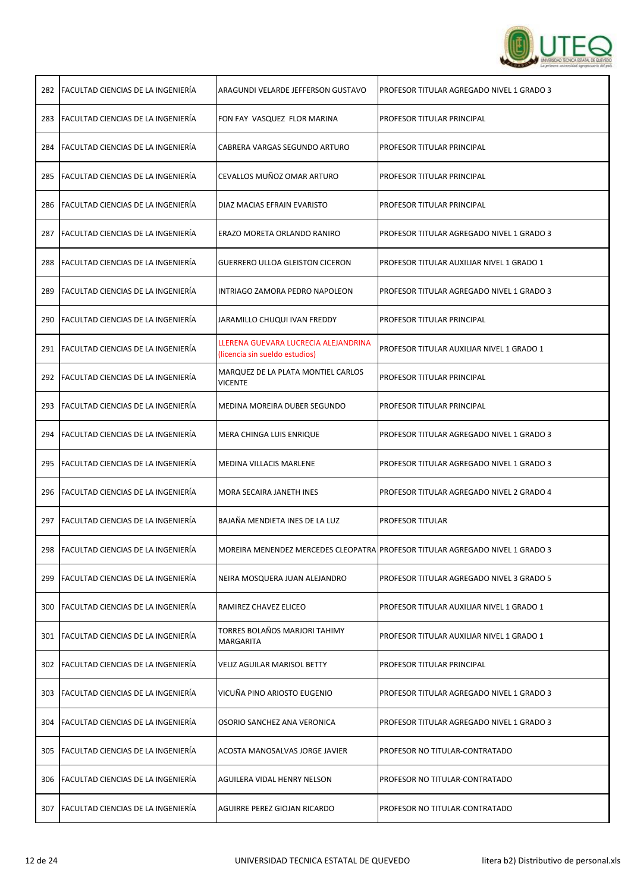

| 282 | FACULTAD CIENCIAS DE LA INGENIERÍA        | ARAGUNDI VELARDE JEFFERSON GUSTAVO                                     | PROFESOR TITULAR AGREGADO NIVEL 1 GRADO 3                                     |
|-----|-------------------------------------------|------------------------------------------------------------------------|-------------------------------------------------------------------------------|
| 283 | <b>FACULTAD CIENCIAS DE LA INGENIERÍA</b> | FON FAY VASQUEZ FLOR MARINA                                            | PROFESOR TITULAR PRINCIPAL                                                    |
| 284 | FACULTAD CIENCIAS DE LA INGENIERÍA        | CABRERA VARGAS SEGUNDO ARTURO                                          | PROFESOR TITULAR PRINCIPAL                                                    |
|     | 285 FACULTAD CIENCIAS DE LA INGENIERÍA    | CEVALLOS MUÑOZ OMAR ARTURO                                             | PROFESOR TITULAR PRINCIPAL                                                    |
|     | 286 FACULTAD CIENCIAS DE LA INGENIERÍA    | DIAZ MACIAS EFRAIN EVARISTO                                            | PROFESOR TITULAR PRINCIPAL                                                    |
|     | 287 FACULTAD CIENCIAS DE LA INGENIERÍA    | ERAZO MORETA ORLANDO RANIRO                                            | PROFESOR TITULAR AGREGADO NIVEL 1 GRADO 3                                     |
|     | 288 FACULTAD CIENCIAS DE LA INGENIERÍA    | <b>GUERRERO ULLOA GLEISTON CICERON</b>                                 | PROFESOR TITULAR AUXILIAR NIVEL 1 GRADO 1                                     |
|     | 289 FACULTAD CIENCIAS DE LA INGENIERÍA    | INTRIAGO ZAMORA PEDRO NAPOLEON                                         | PROFESOR TITULAR AGREGADO NIVEL 1 GRADO 3                                     |
|     | 290 FACULTAD CIENCIAS DE LA INGENIERÍA    | JARAMILLO CHUQUI IVAN FREDDY                                           | PROFESOR TITULAR PRINCIPAL                                                    |
|     | 291 FACULTAD CIENCIAS DE LA INGENIERÍA    | LLERENA GUEVARA LUCRECIA ALEJANDRINA<br>(licencia sin sueldo estudios) | PROFESOR TITULAR AUXILIAR NIVEL 1 GRADO 1                                     |
|     | 292 FACULTAD CIENCIAS DE LA INGENIERÍA    | MARQUEZ DE LA PLATA MONTIEL CARLOS<br><b>VICENTE</b>                   | PROFESOR TITULAR PRINCIPAL                                                    |
| 293 | FACULTAD CIENCIAS DE LA INGENIERÍA        | MEDINA MOREIRA DUBER SEGUNDO                                           | PROFESOR TITULAR PRINCIPAL                                                    |
|     | 294 FACULTAD CIENCIAS DE LA INGENIERÍA    | MERA CHINGA LUIS ENRIQUE                                               | PROFESOR TITULAR AGREGADO NIVEL 1 GRADO 3                                     |
|     | 295   FACULTAD CIENCIAS DE LA INGENIERÍA  | <b>MEDINA VILLACIS MARLENE</b>                                         | PROFESOR TITULAR AGREGADO NIVEL 1 GRADO 3                                     |
|     | 296 FACULTAD CIENCIAS DE LA INGENIERÍA    | MORA SECAIRA JANETH INES                                               | PROFESOR TITULAR AGREGADO NIVEL 2 GRADO 4                                     |
| 297 | <b>FACULTAD CIENCIAS DE LA INGENIERÍA</b> | BAJAÑA MENDIETA INES DE LA LUZ                                         | PROFESOR TITULAR                                                              |
|     | 298 FACULTAD CIENCIAS DE LA INGENIERÍA    |                                                                        | MOREIRA MENENDEZ MERCEDES CLEOPATRA PROFESOR TITULAR AGREGADO NIVEL 1 GRADO 3 |
| 299 | FACULTAD CIENCIAS DE LA INGENIERÍA        | NEIRA MOSQUERA JUAN ALEJANDRO                                          | PROFESOR TITULAR AGREGADO NIVEL 3 GRADO 5                                     |
|     | 300 FACULTAD CIENCIAS DE LA INGENIERÍA    | RAMIREZ CHAVEZ ELICEO                                                  | PROFESOR TITULAR AUXILIAR NIVEL 1 GRADO 1                                     |
| 301 | FACULTAD CIENCIAS DE LA INGENIERÍA        | TORRES BOLAÑOS MARJORI TAHIMY<br>MARGARITA                             | PROFESOR TITULAR AUXILIAR NIVEL 1 GRADO 1                                     |
| 302 | <b>FACULTAD CIENCIAS DE LA INGENIERÍA</b> | <b>VELIZ AGUILAR MARISOL BETTY</b>                                     | PROFESOR TITULAR PRINCIPAL                                                    |
| 303 | FACULTAD CIENCIAS DE LA INGENIERÍA        | VICUÑA PINO ARIOSTO EUGENIO                                            | PROFESOR TITULAR AGREGADO NIVEL 1 GRADO 3                                     |
| 304 | FACULTAD CIENCIAS DE LA INGENIERÍA        | OSORIO SANCHEZ ANA VERONICA                                            | PROFESOR TITULAR AGREGADO NIVEL 1 GRADO 3                                     |
| 305 | <b>FACULTAD CIENCIAS DE LA INGENIERÍA</b> | ACOSTA MANOSALVAS JORGE JAVIER                                         | PROFESOR NO TITULAR-CONTRATADO                                                |
|     | 306   FACULTAD CIENCIAS DE LA INGENIERÍA  | AGUILERA VIDAL HENRY NELSON                                            | PROFESOR NO TITULAR-CONTRATADO                                                |
|     | 307   FACULTAD CIENCIAS DE LA INGENIERÍA  | AGUIRRE PEREZ GIOJAN RICARDO                                           | PROFESOR NO TITULAR-CONTRATADO                                                |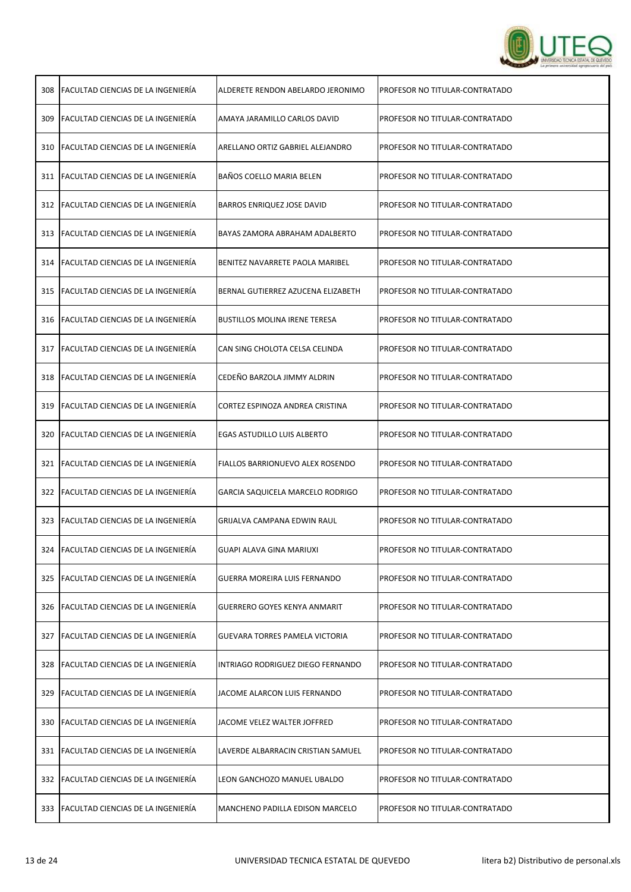

| 308 | <b>FACULTAD CIENCIAS DE LA INGENIERÍA</b> | ALDERETE RENDON ABELARDO JERONIMO     | PROFESOR NO TITULAR-CONTRATADO |
|-----|-------------------------------------------|---------------------------------------|--------------------------------|
| 309 | <b>FACULTAD CIENCIAS DE LA INGENIERÍA</b> | AMAYA JARAMILLO CARLOS DAVID          | PROFESOR NO TITULAR-CONTRATADO |
|     | 310 FACULTAD CIENCIAS DE LA INGENIERÍA    | ARELLANO ORTIZ GABRIEL ALEJANDRO      | PROFESOR NO TITULAR-CONTRATADO |
|     | 311 FACULTAD CIENCIAS DE LA INGENIERÍA    | BAÑOS COELLO MARIA BELEN              | PROFESOR NO TITULAR-CONTRATADO |
|     | 312   FACULTAD CIENCIAS DE LA INGENIERÍA  | BARROS ENRIQUEZ JOSE DAVID            | PROFESOR NO TITULAR-CONTRATADO |
|     | 313   FACULTAD CIENCIAS DE LA INGENIERÍA  | BAYAS ZAMORA ABRAHAM ADALBERTO        | PROFESOR NO TITULAR-CONTRATADO |
|     | 314 FACULTAD CIENCIAS DE LA INGENIERÍA    | BENITEZ NAVARRETE PAOLA MARIBEL       | PROFESOR NO TITULAR-CONTRATADO |
|     | 315 FACULTAD CIENCIAS DE LA INGENIERÍA    | BERNAL GUTIERREZ AZUCENA ELIZABETH    | PROFESOR NO TITULAR-CONTRATADO |
|     | 316   FACULTAD CIENCIAS DE LA INGENIERÍA  | <b>BUSTILLOS MOLINA IRENE TERESA</b>  | PROFESOR NO TITULAR-CONTRATADO |
|     | 317   FACULTAD CIENCIAS DE LA INGENIERÍA  | CAN SING CHOLOTA CELSA CELINDA        | PROFESOR NO TITULAR-CONTRATADO |
|     | 318   FACULTAD CIENCIAS DE LA INGENIERÍA  | CEDEÑO BARZOLA JIMMY ALDRIN           | PROFESOR NO TITULAR-CONTRATADO |
| 319 | FACULTAD CIENCIAS DE LA INGENIERÍA        | CORTEZ ESPINOZA ANDREA CRISTINA       | PROFESOR NO TITULAR-CONTRATADO |
|     | 320 FACULTAD CIENCIAS DE LA INGENIERÍA    | EGAS ASTUDILLO LUIS ALBERTO           | PROFESOR NO TITULAR-CONTRATADO |
|     | 321 FACULTAD CIENCIAS DE LA INGENIERÍA    | FIALLOS BARRIONUEVO ALEX ROSENDO      | PROFESOR NO TITULAR-CONTRATADO |
|     | 322 FACULTAD CIENCIAS DE LA INGENIERÍA    | GARCIA SAQUICELA MARCELO RODRIGO      | PROFESOR NO TITULAR-CONTRATADO |
|     | 323 FACULTAD CIENCIAS DE LA INGENIERÍA    | GRIJALVA CAMPANA EDWIN RAUL           | PROFESOR NO TITULAR-CONTRATADO |
|     | 324   FACULTAD CIENCIAS DE LA INGENIERIA  | GUAPI ALAVA GINA MARIUXI              | PROFESOR NO TITULAR-CONTRATADO |
| 325 | FACULTAD CIENCIAS DE LA INGENIERÍA        | GUERRA MOREIRA LUIS FERNANDO          | PROFESOR NO TITULAR-CONTRATADO |
|     | 326   FACULTAD CIENCIAS DE LA INGENIERÍA  | <b>GUERRERO GOYES KENYA ANMARIT</b>   | PROFESOR NO TITULAR-CONTRATADO |
|     | 327 FACULTAD CIENCIAS DE LA INGENIERÍA    | <b>GUEVARA TORRES PAMELA VICTORIA</b> | PROFESOR NO TITULAR-CONTRATADO |
|     | 328 FACULTAD CIENCIAS DE LA INGENIERÍA    | INTRIAGO RODRIGUEZ DIEGO FERNANDO     | PROFESOR NO TITULAR-CONTRATADO |
|     | 329 FACULTAD CIENCIAS DE LA INGENIERÍA    | JACOME ALARCON LUIS FERNANDO          | PROFESOR NO TITULAR-CONTRATADO |
| 330 | <b>FACULTAD CIENCIAS DE LA INGENIERÍA</b> | JACOME VELEZ WALTER JOFFRED           | PROFESOR NO TITULAR-CONTRATADO |
|     | 331   FACULTAD CIENCIAS DE LA INGENIERÍA  | LAVERDE ALBARRACIN CRISTIAN SAMUEL    | PROFESOR NO TITULAR-CONTRATADO |
|     | 332   FACULTAD CIENCIAS DE LA INGENIERÍA  | LEON GANCHOZO MANUEL UBALDO           | PROFESOR NO TITULAR-CONTRATADO |
|     | 333 FACULTAD CIENCIAS DE LA INGENIERÍA    | MANCHENO PADILLA EDISON MARCELO       | PROFESOR NO TITULAR-CONTRATADO |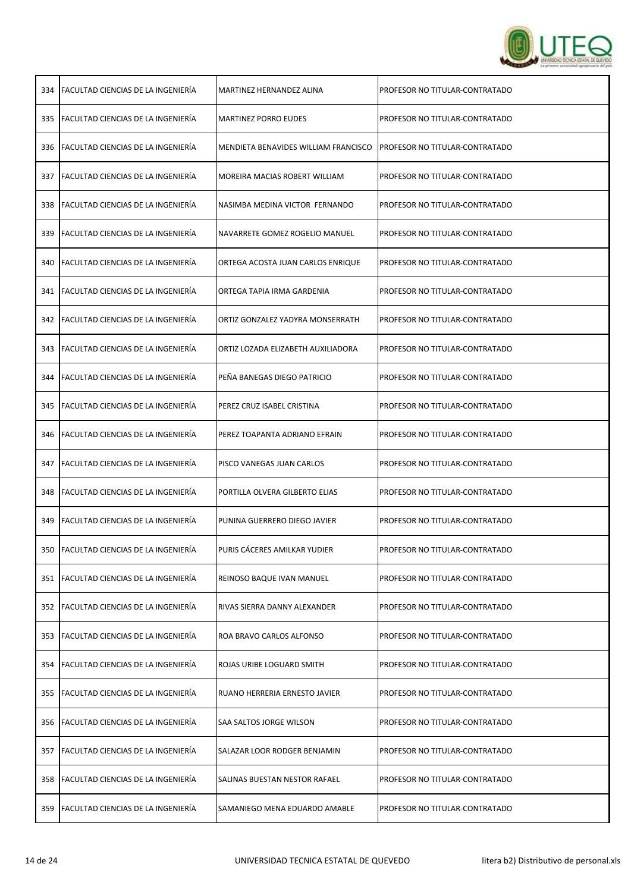

| 334 | <b>FACULTAD CIENCIAS DE LA INGENIERÍA</b> | MARTINEZ HERNANDEZ ALINA             | PROFESOR NO TITULAR-CONTRATADO |
|-----|-------------------------------------------|--------------------------------------|--------------------------------|
| 335 | <b>FACULTAD CIENCIAS DE LA INGENIERÍA</b> | <b>MARTINEZ PORRO EUDES</b>          | PROFESOR NO TITULAR-CONTRATADO |
|     | 336   FACULTAD CIENCIAS DE LA INGENIERÍA  | MENDIETA BENAVIDES WILLIAM FRANCISCO | PROFESOR NO TITULAR-CONTRATADO |
| 337 | FACULTAD CIENCIAS DE LA INGENIERÍA        | MOREIRA MACIAS ROBERT WILLIAM        | PROFESOR NO TITULAR-CONTRATADO |
| 338 | <b>FACULTAD CIENCIAS DE LA INGENIERÍA</b> | NASIMBA MEDINA VICTOR FERNANDO       | PROFESOR NO TITULAR-CONTRATADO |
| 339 | <b>FACULTAD CIENCIAS DE LA INGENIERÍA</b> | NAVARRETE GOMEZ ROGELIO MANUEL       | PROFESOR NO TITULAR-CONTRATADO |
|     | 340 FACULTAD CIENCIAS DE LA INGENIERÍA    | ORTEGA ACOSTA JUAN CARLOS ENRIQUE    | PROFESOR NO TITULAR-CONTRATADO |
| 341 | <b>FACULTAD CIENCIAS DE LA INGENIERÍA</b> | ORTEGA TAPIA IRMA GARDENIA           | PROFESOR NO TITULAR-CONTRATADO |
|     | 342   FACULTAD CIENCIAS DE LA INGENIERÍA  | ORTIZ GONZALEZ YADYRA MONSERRATH     | PROFESOR NO TITULAR-CONTRATADO |
| 343 | FACULTAD CIENCIAS DE LA INGENIERÍA        | ORTIZ LOZADA ELIZABETH AUXILIADORA   | PROFESOR NO TITULAR-CONTRATADO |
|     | 344   FACULTAD CIENCIAS DE LA INGENIERÍA  | PEÑA BANEGAS DIEGO PATRICIO          | PROFESOR NO TITULAR-CONTRATADO |
| 345 | FACULTAD CIENCIAS DE LA INGENIERÍA        | PEREZ CRUZ ISABEL CRISTINA           | PROFESOR NO TITULAR-CONTRATADO |
| 346 | <b>FACULTAD CIENCIAS DE LA INGENIERÍA</b> | PEREZ TOAPANTA ADRIANO EFRAIN        | PROFESOR NO TITULAR-CONTRATADO |
| 347 | <b>FACULTAD CIENCIAS DE LA INGENIERÍA</b> | PISCO VANEGAS JUAN CARLOS            | PROFESOR NO TITULAR-CONTRATADO |
| 348 | <b>FACULTAD CIENCIAS DE LA INGENIERÍA</b> | PORTILLA OLVERA GILBERTO ELIAS       | PROFESOR NO TITULAR-CONTRATADO |
| 349 | FACULTAD CIENCIAS DE LA INGENIERÍA        | PUNINA GUERRERO DIEGO JAVIER         | PROFESOR NO TITULAR-CONTRATADO |
|     | 350 FACULTAD CIENCIAS DE LA INGENIERÍA    | PURIS CACERES AMILKAR YUDIER         | PROFESOR NO TITULAR-CONTRATADO |
| 351 | <b>FACULTAD CIENCIAS DE LA INGENIERÍA</b> | REINOSO BAQUE IVAN MANUEL            | PROFESOR NO TITULAR-CONTRATADO |
|     | 352 FACULTAD CIENCIAS DE LA INGENIERÍA    | RIVAS SIERRA DANNY ALEXANDER         | PROFESOR NO TITULAR-CONTRATADO |
| 353 | <b>FACULTAD CIENCIAS DE LA INGENIERÍA</b> | ROA BRAVO CARLOS ALFONSO             | PROFESOR NO TITULAR-CONTRATADO |
| 354 | <b>FACULTAD CIENCIAS DE LA INGENIERÍA</b> | ROJAS URIBE LOGUARD SMITH            | PROFESOR NO TITULAR-CONTRATADO |
| 355 | <b>FACULTAD CIENCIAS DE LA INGENIERÍA</b> | RUANO HERRERIA ERNESTO JAVIER        | PROFESOR NO TITULAR-CONTRATADO |
| 356 | <b>FACULTAD CIENCIAS DE LA INGENIERÍA</b> | SAA SALTOS JORGE WILSON              | PROFESOR NO TITULAR-CONTRATADO |
| 357 | <b>FACULTAD CIENCIAS DE LA INGENIERÍA</b> | SALAZAR LOOR RODGER BENJAMIN         | PROFESOR NO TITULAR-CONTRATADO |
| 358 | FACULTAD CIENCIAS DE LA INGENIERÍA        | SALINAS BUESTAN NESTOR RAFAEL        | PROFESOR NO TITULAR-CONTRATADO |
|     | 359 FACULTAD CIENCIAS DE LA INGENIERÍA    | SAMANIEGO MENA EDUARDO AMABLE        | PROFESOR NO TITULAR-CONTRATADO |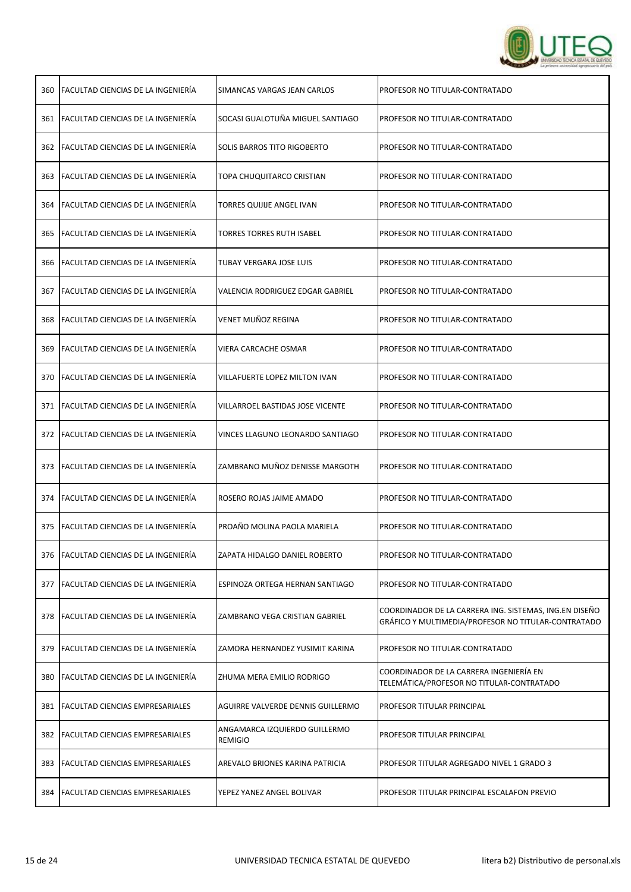

| 360 | <b>FACULTAD CIENCIAS DE LA INGENIERÍA</b> | SIMANCAS VARGAS JEAN CARLOS                     | PROFESOR NO TITULAR-CONTRATADO                                                                                |
|-----|-------------------------------------------|-------------------------------------------------|---------------------------------------------------------------------------------------------------------------|
|     | 361 FACULTAD CIENCIAS DE LA INGENIERÍA    | SOCASI GUALOTUÑA MIGUEL SANTIAGO                | PROFESOR NO TITULAR-CONTRATADO                                                                                |
|     | 362 FACULTAD CIENCIAS DE LA INGENIERÍA    | <b>SOLIS BARROS TITO RIGOBERTO</b>              | PROFESOR NO TITULAR-CONTRATADO                                                                                |
|     | 363 FACULTAD CIENCIAS DE LA INGENIERÍA    | TOPA CHUQUITARCO CRISTIAN                       | PROFESOR NO TITULAR-CONTRATADO                                                                                |
|     | 364   FACULTAD CIENCIAS DE LA INGENIERÍA  | TORRES QUIJIJE ANGEL IVAN                       | PROFESOR NO TITULAR-CONTRATADO                                                                                |
|     | 365   FACULTAD CIENCIAS DE LA INGENIERÍA  | <b>TORRES TORRES RUTH ISABEL</b>                | PROFESOR NO TITULAR-CONTRATADO                                                                                |
|     | 366 FACULTAD CIENCIAS DE LA INGENIERÍA    | TUBAY VERGARA JOSE LUIS                         | PROFESOR NO TITULAR-CONTRATADO                                                                                |
| 367 | FACULTAD CIENCIAS DE LA INGENIERÍA        | VALENCIA RODRIGUEZ EDGAR GABRIEL                | PROFESOR NO TITULAR-CONTRATADO                                                                                |
|     | 368   FACULTAD CIENCIAS DE LA INGENIERÍA  | VENET MUÑOZ REGINA                              | PROFESOR NO TITULAR-CONTRATADO                                                                                |
| 369 | FACULTAD CIENCIAS DE LA INGENIERÍA        | VIERA CARCACHE OSMAR                            | PROFESOR NO TITULAR-CONTRATADO                                                                                |
|     | 370 FACULTAD CIENCIAS DE LA INGENIERÍA    | VILLAFUERTE LOPEZ MILTON IVAN                   | PROFESOR NO TITULAR-CONTRATADO                                                                                |
| 371 | FACULTAD CIENCIAS DE LA INGENIERÍA        | VILLARROEL BASTIDAS JOSE VICENTE                | PROFESOR NO TITULAR-CONTRATADO                                                                                |
|     | 372 FACULTAD CIENCIAS DE LA INGENIERÍA    | VINCES LLAGUNO LEONARDO SANTIAGO                | PROFESOR NO TITULAR-CONTRATADO                                                                                |
|     | 373 FACULTAD CIENCIAS DE LA INGENIERÍA    | ZAMBRANO MUÑOZ DENISSE MARGOTH                  | PROFESOR NO TITULAR-CONTRATADO                                                                                |
|     | 374   FACULTAD CIENCIAS DE LA INGENIERÍA  | ROSERO ROJAS JAIME AMADO                        | PROFESOR NO TITULAR-CONTRATADO                                                                                |
|     | 375 FACULTAD CIENCIAS DE LA INGENIERÍA    | PROAÑO MOLINA PAOLA MARIELA                     | PROFESOR NO TITULAR-CONTRATADO                                                                                |
| 376 | <b>FACULTAD CIENCIAS DE LA INGENIERÍA</b> | ZAPATA HIDALGO DANIEL ROBERTO                   | PROFESOR NO TITULAR-CONTRATADO                                                                                |
| 377 | FACULTAD CIENCIAS DE LA INGENIERÍA        | ESPINOZA ORTEGA HERNAN SANTIAGO                 | PROFESOR NO TITULAR-CONTRATADO                                                                                |
| 378 | <b>FACULTAD CIENCIAS DE LA INGENIERÍA</b> | ZAMBRANO VEGA CRISTIAN GABRIEL                  | COORDINADOR DE LA CARRERA ING. SISTEMAS, ING.EN DISEÑO<br>GRÁFICO Y MULTIMEDIA/PROFESOR NO TITULAR-CONTRATADO |
| 379 | FACULTAD CIENCIAS DE LA INGENIERÍA        | ZAMORA HERNANDEZ YUSIMIT KARINA                 | PROFESOR NO TITULAR-CONTRATADO                                                                                |
| 380 | <b>FACULTAD CIENCIAS DE LA INGENIERÍA</b> | ZHUMA MERA EMILIO RODRIGO                       | COORDINADOR DE LA CARRERA INGENIERÍA EN<br>TELEMÁTICA/PROFESOR NO TITULAR-CONTRATADO                          |
| 381 | <b>FACULTAD CIENCIAS EMPRESARIALES</b>    | AGUIRRE VALVERDE DENNIS GUILLERMO               | PROFESOR TITULAR PRINCIPAL                                                                                    |
|     | 382   FACULTAD CIENCIAS EMPRESARIALES     | ANGAMARCA IZQUIERDO GUILLERMO<br><b>REMIGIO</b> | PROFESOR TITULAR PRINCIPAL                                                                                    |
|     | 383   FACULTAD CIENCIAS EMPRESARIALES     | AREVALO BRIONES KARINA PATRICIA                 | PROFESOR TITULAR AGREGADO NIVEL 1 GRADO 3                                                                     |
|     | 384   FACULTAD CIENCIAS EMPRESARIALES     | YEPEZ YANEZ ANGEL BOLIVAR                       | PROFESOR TITULAR PRINCIPAL ESCALAFON PREVIO                                                                   |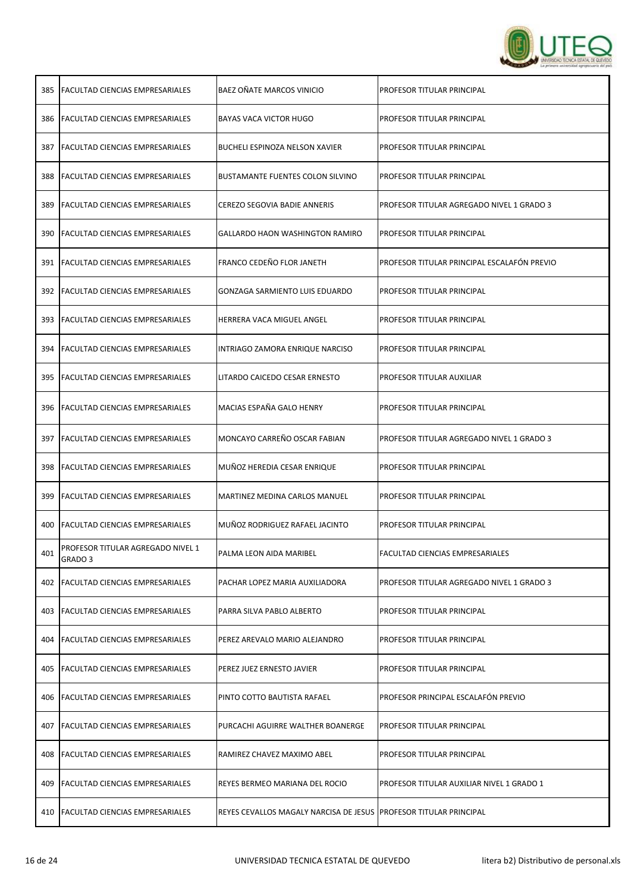

| 385 | <b>FACULTAD CIENCIAS EMPRESARIALES</b>       | BAEZ OÑATE MARCOS VINICIO                                           | PROFESOR TITULAR PRINCIPAL                  |
|-----|----------------------------------------------|---------------------------------------------------------------------|---------------------------------------------|
| 386 | FACULTAD CIENCIAS EMPRESARIALES              | BAYAS VACA VICTOR HUGO                                              | PROFESOR TITULAR PRINCIPAL                  |
| 387 | <b>FACULTAD CIENCIAS EMPRESARIALES</b>       | BUCHELI ESPINOZA NELSON XAVIER                                      | PROFESOR TITULAR PRINCIPAL                  |
| 388 | <b>FACULTAD CIENCIAS EMPRESARIALES</b>       | <b>BUSTAMANTE FUENTES COLON SILVINO</b>                             | PROFESOR TITULAR PRINCIPAL                  |
| 389 | FACULTAD CIENCIAS EMPRESARIALES              | CEREZO SEGOVIA BADIE ANNERIS                                        | PROFESOR TITULAR AGREGADO NIVEL 1 GRADO 3   |
| 390 | FACULTAD CIENCIAS EMPRESARIALES              | GALLARDO HAON WASHINGTON RAMIRO                                     | PROFESOR TITULAR PRINCIPAL                  |
| 391 | <b>FACULTAD CIENCIAS EMPRESARIALES</b>       | FRANCO CEDEÑO FLOR JANETH                                           | PROFESOR TITULAR PRINCIPAL ESCALAFÓN PREVIO |
| 392 | <b>FACULTAD CIENCIAS EMPRESARIALES</b>       | GONZAGA SARMIENTO LUIS EDUARDO                                      | PROFESOR TITULAR PRINCIPAL                  |
| 393 | <b>FACULTAD CIENCIAS EMPRESARIALES</b>       | HERRERA VACA MIGUEL ANGEL                                           | PROFESOR TITULAR PRINCIPAL                  |
| 394 | <b>FACULTAD CIENCIAS EMPRESARIALES</b>       | INTRIAGO ZAMORA ENRIQUE NARCISO                                     | PROFESOR TITULAR PRINCIPAL                  |
| 395 | <b>FACULTAD CIENCIAS EMPRESARIALES</b>       | LITARDO CAICEDO CESAR ERNESTO                                       | PROFESOR TITULAR AUXILIAR                   |
| 396 | FACULTAD CIENCIAS EMPRESARIALES              | MACIAS ESPAÑA GALO HENRY                                            | PROFESOR TITULAR PRINCIPAL                  |
| 397 | <b>FACULTAD CIENCIAS EMPRESARIALES</b>       | MONCAYO CARREÑO OSCAR FABIAN                                        | PROFESOR TITULAR AGREGADO NIVEL 1 GRADO 3   |
| 398 | <b>FACULTAD CIENCIAS EMPRESARIALES</b>       | MUÑOZ HEREDIA CESAR ENRIQUE                                         | PROFESOR TITULAR PRINCIPAL                  |
| 399 | FACULTAD CIENCIAS EMPRESARIALES              | MARTINEZ MEDINA CARLOS MANUEL                                       | PROFESOR TITULAR PRINCIPAL                  |
| 400 | <b>FACULTAD CIENCIAS EMPRESARIALES</b>       | MUÑOZ RODRIGUEZ RAFAEL JACINTO                                      | PROFESOR TITULAR PRINCIPAL                  |
| 401 | PROFESOR TITULAR AGREGADO NIVEL 1<br>GRADO 3 | PALMA LEON AIDA MARIBEL                                             | FACULTAD CIENCIAS EMPRESARIALES             |
| 402 | <b>FACULTAD CIENCIAS EMPRESARIALES</b>       | PACHAR LOPEZ MARIA AUXILIADORA                                      | PROFESOR TITULAR AGREGADO NIVEL 1 GRADO 3   |
| 403 | FACULTAD CIENCIAS EMPRESARIALES              | PARRA SILVA PABLO ALBERTO                                           | PROFESOR TITULAR PRINCIPAL                  |
| 404 | <b>IFACULTAD CIENCIAS EMPRESARIALES</b>      | PEREZ AREVALO MARIO ALEJANDRO                                       | PROFESOR TITULAR PRINCIPAL                  |
| 405 | <b>FACULTAD CIENCIAS EMPRESARIALES</b>       | PEREZ JUEZ ERNESTO JAVIER                                           | PROFESOR TITULAR PRINCIPAL                  |
| 406 | FACULTAD CIENCIAS EMPRESARIALES              | PINTO COTTO BAUTISTA RAFAEL                                         | PROFESOR PRINCIPAL ESCALAFÓN PREVIO         |
| 407 | FACULTAD CIENCIAS EMPRESARIALES              | PURCACHI AGUIRRE WALTHER BOANERGE                                   | PROFESOR TITULAR PRINCIPAL                  |
| 408 | <b>FACULTAD CIENCIAS EMPRESARIALES</b>       | RAMIREZ CHAVEZ MAXIMO ABEL                                          | PROFESOR TITULAR PRINCIPAL                  |
| 409 | FACULTAD CIENCIAS EMPRESARIALES              | REYES BERMEO MARIANA DEL ROCIO                                      | PROFESOR TITULAR AUXILIAR NIVEL 1 GRADO 1   |
| 410 | <b>FACULTAD CIENCIAS EMPRESARIALES</b>       | REYES CEVALLOS MAGALY NARCISA DE JESUS   PROFESOR TITULAR PRINCIPAL |                                             |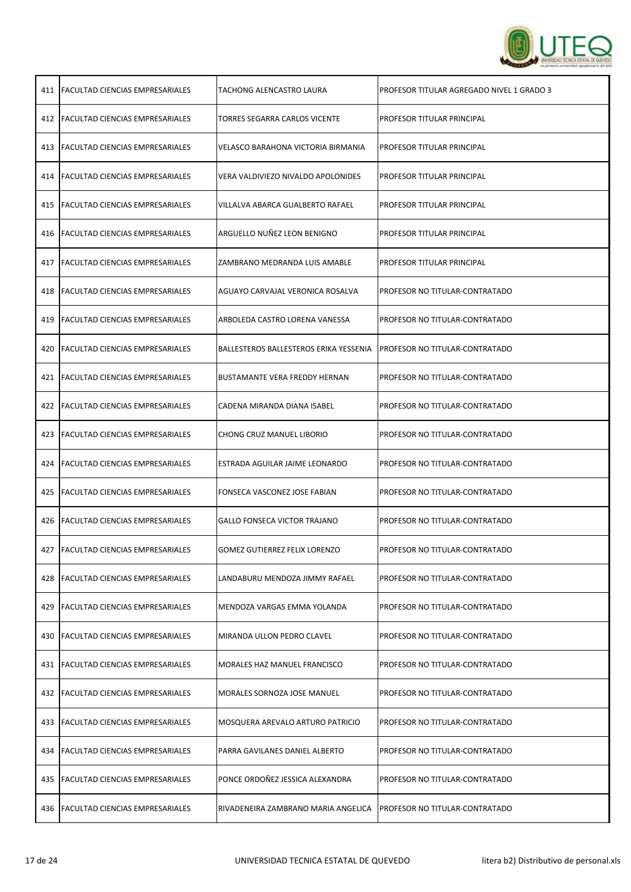

| 411 | <b>FACULTAD CIENCIAS EMPRESARIALES</b>  | TACHONG ALENCASTRO LAURA               | PROFESOR TITULAR AGREGADO NIVEL 1 GRADO 3 |
|-----|-----------------------------------------|----------------------------------------|-------------------------------------------|
|     | 412   FACULTAD CIENCIAS EMPRESARIALES   | TORRES SEGARRA CARLOS VICENTE          | PROFESOR TITULAR PRINCIPAL                |
| 413 | <b>FACULTAD CIENCIAS EMPRESARIALES</b>  | VELASCO BARAHONA VICTORIA BIRMANIA     | PROFESOR TITULAR PRINCIPAL                |
|     | 414   FACULTAD CIENCIAS EMPRESARIALES   | VERA VALDIVIEZO NIVALDO APOLONIDES     | PROFESOR TITULAR PRINCIPAL                |
| 415 | <b>FACULTAD CIENCIAS EMPRESARIALES</b>  | VILLALVA ABARCA GUALBERTO RAFAEL       | PROFESOR TITULAR PRINCIPAL                |
|     | 416   FACULTAD CIENCIAS EMPRESARIALES   | ARGUELLO NUÑEZ LEON BENIGNO            | PROFESOR TITULAR PRINCIPAL                |
| 417 | <b>FACULTAD CIENCIAS EMPRESARIALES</b>  | ZAMBRANO MEDRANDA LUIS AMABLE          | PROFESOR TITULAR PRINCIPAL                |
|     | 418   FACULTAD CIENCIAS EMPRESARIALES   | AGUAYO CARVAJAL VERONICA ROSALVA       | PROFESOR NO TITULAR-CONTRATADO            |
| 419 | <b>FACULTAD CIENCIAS EMPRESARIALES</b>  | ARBOLEDA CASTRO LORENA VANESSA         | PROFESOR NO TITULAR-CONTRATADO            |
| 420 | <b>FACULTAD CIENCIAS EMPRESARIALES</b>  | BALLESTEROS BALLESTEROS ERIKA YESSENIA | PROFESOR NO TITULAR-CONTRATADO            |
| 421 | <b>FACULTAD CIENCIAS EMPRESARIALES</b>  | <b>BUSTAMANTE VERA FREDDY HERNAN</b>   | PROFESOR NO TITULAR-CONTRATADO            |
| 422 | <b>FACULTAD CIENCIAS EMPRESARIALES</b>  | CADENA MIRANDA DIANA ISABEL            | PROFESOR NO TITULAR-CONTRATADO            |
| 423 | <b>FACULTAD CIENCIAS EMPRESARIALES</b>  | CHONG CRUZ MANUEL LIBORIO              | PROFESOR NO TITULAR-CONTRATADO            |
|     | 424   FACULTAD CIENCIAS EMPRESARIALES   | ESTRADA AGUILAR JAIME LEONARDO         | PROFESOR NO TITULAR-CONTRATADO            |
|     | 425 FACULTAD CIENCIAS EMPRESARIALES     | FONSECA VASCONEZ JOSE FABIAN           | PROFESOR NO TITULAR-CONTRATADO            |
| 426 | <b>FACULTAD CIENCIAS EMPRESARIALES</b>  | GALLO FONSECA VICTOR TRAJANO           | PROFESOR NO TITULAR-CONTRATADO            |
| 427 | <b>IFACULTAD CIENCIAS EMPRESARIALES</b> | <b>GOMEZ GUTIERREZ FELIX LORENZO</b>   | PROFESOR NO TITULAR-CONTRATADO            |
| 428 | lFACULTAD CIENCIAS EMPRESARIALES        | LANDABURU MENDOZA JIMMY RAFAEL         | PROFESOR NO TITULAR-CONTRATADO            |
| 429 | <b>FACULTAD CIENCIAS EMPRESARIALES</b>  | MENDOZA VARGAS EMMA YOLANDA            | PROFESOR NO TITULAR-CONTRATADO            |
| 430 | <b>FACULTAD CIENCIAS EMPRESARIALES</b>  | MIRANDA ULLON PEDRO CLAVEL             | PROFESOR NO TITULAR-CONTRATADO            |
|     | 431   FACULTAD CIENCIAS EMPRESARIALES   | MORALES HAZ MANUEL FRANCISCO           | PROFESOR NO TITULAR-CONTRATADO            |
| 432 | <b>FACULTAD CIENCIAS EMPRESARIALES</b>  | MORALES SORNOZA JOSE MANUEL            | PROFESOR NO TITULAR-CONTRATADO            |
| 433 | <b>FACULTAD CIENCIAS EMPRESARIALES</b>  | MOSQUERA AREVALO ARTURO PATRICIO       | PROFESOR NO TITULAR-CONTRATADO            |
| 434 | <b>FACULTAD CIENCIAS EMPRESARIALES</b>  | PARRA GAVILANES DANIEL ALBERTO         | PROFESOR NO TITULAR-CONTRATADO            |
|     | 435   FACULTAD CIENCIAS EMPRESARIALES   | PONCE ORDOÑEZ JESSICA ALEXANDRA        | PROFESOR NO TITULAR-CONTRATADO            |
| 436 | <b>FACULTAD CIENCIAS EMPRESARIALES</b>  | RIVADENEIRA ZAMBRANO MARIA ANGELICA    | PROFESOR NO TITULAR-CONTRATADO            |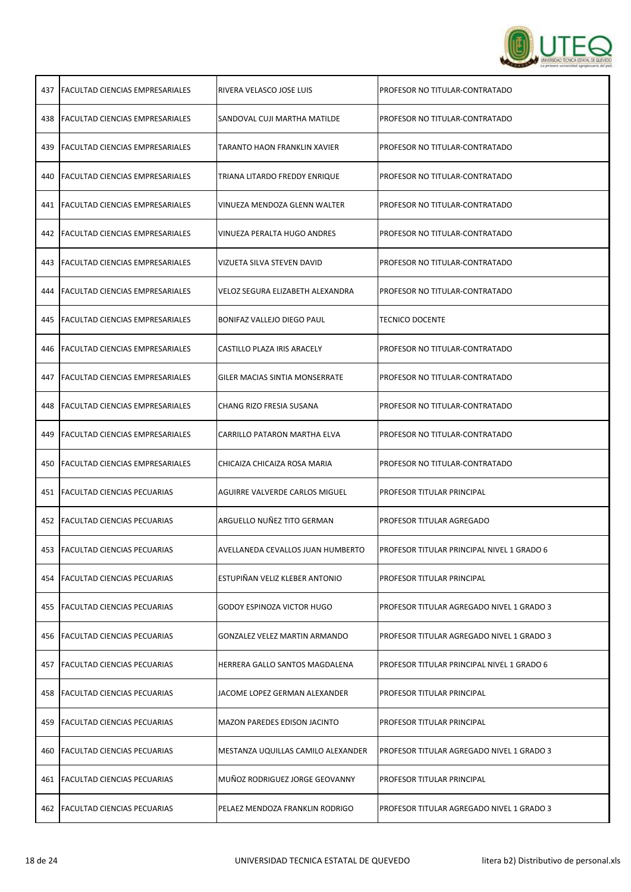

|     | 437   FACULTAD CIENCIAS EMPRESARIALES  | RIVERA VELASCO JOSE LUIS             | PROFESOR NO TITULAR-CONTRATADO             |
|-----|----------------------------------------|--------------------------------------|--------------------------------------------|
|     | 438   FACULTAD CIENCIAS EMPRESARIALES  | SANDOVAL CUJI MARTHA MATILDE         | PROFESOR NO TITULAR-CONTRATADO             |
|     | 439   FACULTAD CIENCIAS EMPRESARIALES  | TARANTO HAON FRANKLIN XAVIER         | PROFESOR NO TITULAR-CONTRATADO             |
|     | 440   FACULTAD CIENCIAS EMPRESARIALES  | TRIANA LITARDO FREDDY ENRIQUE        | PROFESOR NO TITULAR-CONTRATADO             |
|     | 441   FACULTAD CIENCIAS EMPRESARIALES  | VINUEZA MENDOZA GLENN WALTER         | PROFESOR NO TITULAR-CONTRATADO             |
|     | 442   FACULTAD CIENCIAS EMPRESARIALES  | VINUEZA PERALTA HUGO ANDRES          | PROFESOR NO TITULAR-CONTRATADO             |
|     | 443   FACULTAD CIENCIAS EMPRESARIALES  | VIZUETA SILVA STEVEN DAVID           | PROFESOR NO TITULAR-CONTRATADO             |
| 444 | <b>FACULTAD CIENCIAS EMPRESARIALES</b> | VELOZ SEGURA ELIZABETH ALEXANDRA     | PROFESOR NO TITULAR-CONTRATADO             |
| 445 | <b>FACULTAD CIENCIAS EMPRESARIALES</b> | BONIFAZ VALLEJO DIEGO PAUL           | <b>TECNICO DOCENTE</b>                     |
|     | 446   FACULTAD CIENCIAS EMPRESARIALES  | CASTILLO PLAZA IRIS ARACELY          | PROFESOR NO TITULAR-CONTRATADO             |
| 447 | <b>FACULTAD CIENCIAS EMPRESARIALES</b> | GILER MACIAS SINTIA MONSERRATE       | PROFESOR NO TITULAR-CONTRATADO             |
| 448 | FACULTAD CIENCIAS EMPRESARIALES        | CHANG RIZO FRESIA SUSANA             | PROFESOR NO TITULAR-CONTRATADO             |
| 449 | <b>FACULTAD CIENCIAS EMPRESARIALES</b> | CARRILLO PATARON MARTHA ELVA         | PROFESOR NO TITULAR-CONTRATADO             |
|     | 450   FACULTAD CIENCIAS EMPRESARIALES  | CHICAIZA CHICAIZA ROSA MARIA         | PROFESOR NO TITULAR-CONTRATADO             |
|     | 451   FACULTAD CIENCIAS PECUARIAS      | AGUIRRE VALVERDE CARLOS MIGUEL       | PROFESOR TITULAR PRINCIPAL                 |
| 452 | <b>FACULTAD CIENCIAS PECUARIAS</b>     | ARGUELLO NUÑEZ TITO GERMAN           | PROFESOR TITULAR AGREGADO                  |
|     | 453 FACULTAD CIENCIAS PECUARIAS        | AVELLANEDA CEVALLOS JUAN HUMBERTO    | PROFESOR TITULAR PRINCIPAL NIVEL 1 GRADO 6 |
| 454 | FACULTAD CIENCIAS PECUARIAS            | ESTUPIÑAN VELIZ KLEBER ANTONIO       | PROFESOR TITULAR PRINCIPAL                 |
| 455 | <b>FACULTAD CIENCIAS PECUARIAS</b>     | GODOY ESPINOZA VICTOR HUGO           | PROFESOR TITULAR AGREGADO NIVEL 1 GRADO 3  |
| 456 | <b>FACULTAD CIENCIAS PECUARIAS</b>     | <b>GONZALEZ VELEZ MARTIN ARMANDO</b> | PROFESOR TITULAR AGREGADO NIVEL 1 GRADO 3  |
| 457 | <b>FACULTAD CIENCIAS PECUARIAS</b>     | HERRERA GALLO SANTOS MAGDALENA       | PROFESOR TITULAR PRINCIPAL NIVEL 1 GRADO 6 |
| 458 | <b>FACULTAD CIENCIAS PECUARIAS</b>     | JACOME LOPEZ GERMAN ALEXANDER        | PROFESOR TITULAR PRINCIPAL                 |
| 459 | <b>FACULTAD CIENCIAS PECUARIAS</b>     | <b>MAZON PAREDES EDISON JACINTO</b>  | PROFESOR TITULAR PRINCIPAL                 |
| 460 | <b>FACULTAD CIENCIAS PECUARIAS</b>     | MESTANZA UQUILLAS CAMILO ALEXANDER   | PROFESOR TITULAR AGREGADO NIVEL 1 GRADO 3  |
| 461 | <b>FACULTAD CIENCIAS PECUARIAS</b>     | MUÑOZ RODRIGUEZ JORGE GEOVANNY       | PROFESOR TITULAR PRINCIPAL                 |
|     | 462 FACULTAD CIENCIAS PECUARIAS        | PELAEZ MENDOZA FRANKLIN RODRIGO      | PROFESOR TITULAR AGREGADO NIVEL 1 GRADO 3  |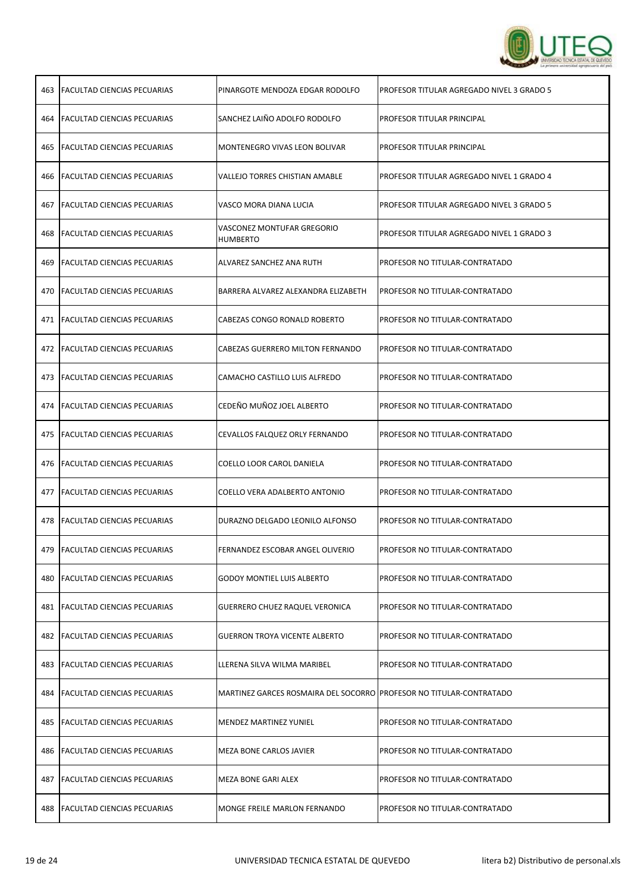

| 463 | <b>FACULTAD CIENCIAS PECUARIAS</b>     | PINARGOTE MENDOZA EDGAR RODOLFO                                     | PROFESOR TITULAR AGREGADO NIVEL 3 GRADO 5 |
|-----|----------------------------------------|---------------------------------------------------------------------|-------------------------------------------|
|     | <b>464 FACULTAD CIENCIAS PECUARIAS</b> | SANCHEZ LAIÑO ADOLFO RODOLFO                                        | PROFESOR TITULAR PRINCIPAL                |
| 465 | <b>FACULTAD CIENCIAS PECUARIAS</b>     | MONTENEGRO VIVAS LEON BOLIVAR                                       | PROFESOR TITULAR PRINCIPAL                |
|     | 466 FACULTAD CIENCIAS PECUARIAS        | <b>VALLEJO TORRES CHISTIAN AMABLE</b>                               | PROFESOR TITULAR AGREGADO NIVEL 1 GRADO 4 |
| 467 | <b>FACULTAD CIENCIAS PECUARIAS</b>     | VASCO MORA DIANA LUCIA                                              | PROFESOR TITULAR AGREGADO NIVEL 3 GRADO 5 |
| 468 | <b>FACULTAD CIENCIAS PECUARIAS</b>     | VASCONEZ MONTUFAR GREGORIO<br><b>HUMBERTO</b>                       | PROFESOR TITULAR AGREGADO NIVEL 1 GRADO 3 |
| 469 | <b>FACULTAD CIENCIAS PECUARIAS</b>     | ALVAREZ SANCHEZ ANA RUTH                                            | PROFESOR NO TITULAR-CONTRATADO            |
|     | 470 FACULTAD CIENCIAS PECUARIAS        | BARRERA ALVAREZ ALEXANDRA ELIZABETH                                 | PROFESOR NO TITULAR-CONTRATADO            |
|     | 471   FACULTAD CIENCIAS PECUARIAS      | CABEZAS CONGO RONALD ROBERTO                                        | PROFESOR NO TITULAR-CONTRATADO            |
|     | 472 FACULTAD CIENCIAS PECUARIAS        | CABEZAS GUERRERO MILTON FERNANDO                                    | PROFESOR NO TITULAR-CONTRATADO            |
|     | 473   FACULTAD CIENCIAS PECUARIAS      | CAMACHO CASTILLO LUIS ALFREDO                                       | PROFESOR NO TITULAR-CONTRATADO            |
|     | 474   FACULTAD CIENCIAS PECUARIAS      | CEDEÑO MUÑOZ JOEL ALBERTO                                           | PROFESOR NO TITULAR-CONTRATADO            |
| 475 | <b>FACULTAD CIENCIAS PECUARIAS</b>     | CEVALLOS FALQUEZ ORLY FERNANDO                                      | PROFESOR NO TITULAR-CONTRATADO            |
|     | 476   FACULTAD CIENCIAS PECUARIAS      | COELLO LOOR CAROL DANIELA                                           | PROFESOR NO TITULAR-CONTRATADO            |
|     | 477   FACULTAD CIENCIAS PECUARIAS      | COELLO VERA ADALBERTO ANTONIO                                       | PROFESOR NO TITULAR-CONTRATADO            |
|     | 478 FACULTAD CIENCIAS PECUARIAS        | DURAZNO DELGADO LEONILO ALFONSO                                     | PROFESOR NO TITULAR-CONTRATADO            |
|     | 479   FACULTAD CIENCIAS PECUARIAS      | FERNANDEZ ESCOBAR ANGEL OLIVERIO                                    | PROFESOR NO TITULAR-CONTRATADO            |
| 480 | FACULTAD CIENCIAS PECUARIAS            | <b>GODOY MONTIEL LUIS ALBERTO</b>                                   | PROFESOR NO TITULAR-CONTRATADO            |
| 481 | <b>FACULTAD CIENCIAS PECUARIAS</b>     | <b>GUERRERO CHUEZ RAQUEL VERONICA</b>                               | PROFESOR NO TITULAR-CONTRATADO            |
| 482 | <b>FACULTAD CIENCIAS PECUARIAS</b>     | <b>GUERRON TROYA VICENTE ALBERTO</b>                                | PROFESOR NO TITULAR-CONTRATADO            |
| 483 | <b>FACULTAD CIENCIAS PECUARIAS</b>     | LLERENA SILVA WILMA MARIBEL                                         | PROFESOR NO TITULAR-CONTRATADO            |
| 484 | <b>FACULTAD CIENCIAS PECUARIAS</b>     | MARTINEZ GARCES ROSMAIRA DEL SOCORRO PROFESOR NO TITULAR-CONTRATADO |                                           |
| 485 | <b>FACULTAD CIENCIAS PECUARIAS</b>     | <b>MENDEZ MARTINEZ YUNIEL</b>                                       | PROFESOR NO TITULAR-CONTRATADO            |
| 486 | <b>FACULTAD CIENCIAS PECUARIAS</b>     | MEZA BONE CARLOS JAVIER                                             | PROFESOR NO TITULAR-CONTRATADO            |
| 487 | FACULTAD CIENCIAS PECUARIAS            | MEZA BONE GARI ALEX                                                 | PROFESOR NO TITULAR-CONTRATADO            |
| 488 | <b>FACULTAD CIENCIAS PECUARIAS</b>     | MONGE FREILE MARLON FERNANDO                                        | PROFESOR NO TITULAR-CONTRATADO            |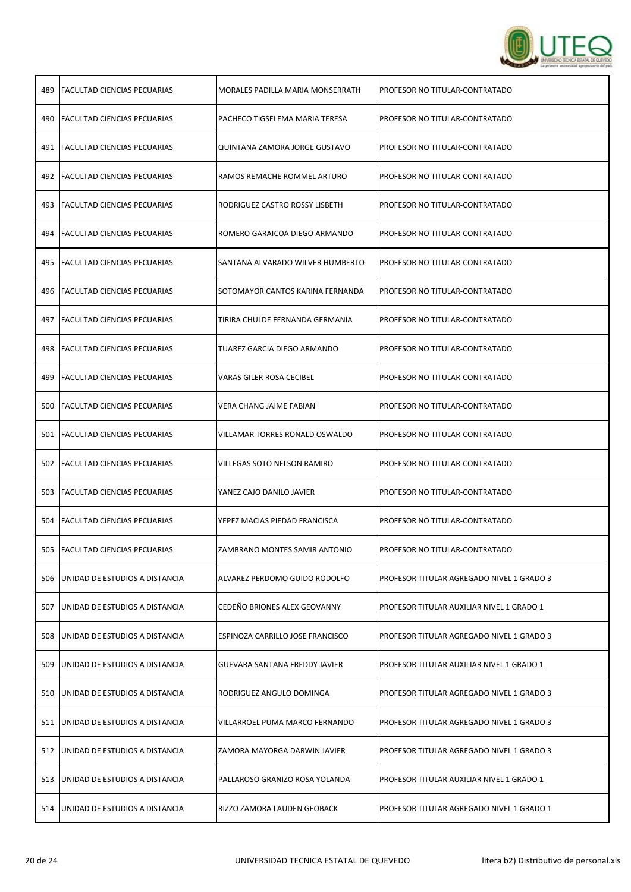

| 489 | <b>FACULTAD CIENCIAS PECUARIAS</b> | MORALES PADILLA MARIA MONSERRATH | PROFESOR NO TITULAR-CONTRATADO            |
|-----|------------------------------------|----------------------------------|-------------------------------------------|
|     | 490 FACULTAD CIENCIAS PECUARIAS    | PACHECO TIGSELEMA MARIA TERESA   | PROFESOR NO TITULAR-CONTRATADO            |
|     | 491   FACULTAD CIENCIAS PECUARIAS  | QUINTANA ZAMORA JORGE GUSTAVO    | PROFESOR NO TITULAR-CONTRATADO            |
|     | 492   FACULTAD CIENCIAS PECUARIAS  | RAMOS REMACHE ROMMEL ARTURO      | PROFESOR NO TITULAR-CONTRATADO            |
|     | 493   FACULTAD CIENCIAS PECUARIAS  | RODRIGUEZ CASTRO ROSSY LISBETH   | PROFESOR NO TITULAR-CONTRATADO            |
|     | 494   FACULTAD CIENCIAS PECUARIAS  | ROMERO GARAICOA DIEGO ARMANDO    | PROFESOR NO TITULAR-CONTRATADO            |
|     | 495   FACULTAD CIENCIAS PECUARIAS  | SANTANA ALVARADO WILVER HUMBERTO | PROFESOR NO TITULAR-CONTRATADO            |
| 496 | <b>FACULTAD CIENCIAS PECUARIAS</b> | SOTOMAYOR CANTOS KARINA FERNANDA | PROFESOR NO TITULAR-CONTRATADO            |
| 497 | <b>FACULTAD CIENCIAS PECUARIAS</b> | TIRIRA CHULDE FERNANDA GERMANIA  | PROFESOR NO TITULAR-CONTRATADO            |
|     | 498 FACULTAD CIENCIAS PECUARIAS    | TUAREZ GARCIA DIEGO ARMANDO      | PROFESOR NO TITULAR-CONTRATADO            |
| 499 | <b>FACULTAD CIENCIAS PECUARIAS</b> | VARAS GILER ROSA CECIBEL         | PROFESOR NO TITULAR-CONTRATADO            |
| 500 | FACULTAD CIENCIAS PECUARIAS        | VERA CHANG JAIME FABIAN          | PROFESOR NO TITULAR-CONTRATADO            |
|     | 501   FACULTAD CIENCIAS PECUARIAS  | VILLAMAR TORRES RONALD OSWALDO   | PROFESOR NO TITULAR-CONTRATADO            |
|     | 502 FACULTAD CIENCIAS PECUARIAS    | VILLEGAS SOTO NELSON RAMIRO      | PROFESOR NO TITULAR-CONTRATADO            |
|     | 503 FACULTAD CIENCIAS PECUARIAS    | YANEZ CAJO DANILO JAVIER         | PROFESOR NO TITULAR-CONTRATADO            |
| 504 | <b>FACULTAD CIENCIAS PECUARIAS</b> | YEPEZ MACIAS PIEDAD FRANCISCA    | PROFESOR NO TITULAR-CONTRATADO            |
|     | 505 FACULTAD CIENCIAS PECUARIAS    | ZAMBRANO MONTES SAMIR ANTONIO    | PROFESOR NO TITULAR-CONTRATADO            |
| 506 | UNIDAD DE ESTUDIOS A DISTANCIA     | ALVAREZ PERDOMO GUIDO RODOLFO    | PROFESOR TITULAR AGREGADO NIVEL 1 GRADO 3 |
| 507 | UNIDAD DE ESTUDIOS A DISTANCIA     | CEDEÑO BRIONES ALEX GEOVANNY     | PROFESOR TITULAR AUXILIAR NIVEL 1 GRADO 1 |
| 508 | UNIDAD DE ESTUDIOS A DISTANCIA     | ESPINOZA CARRILLO JOSE FRANCISCO | PROFESOR TITULAR AGREGADO NIVEL 1 GRADO 3 |
| 509 | UNIDAD DE ESTUDIOS A DISTANCIA     | GUEVARA SANTANA FREDDY JAVIER    | PROFESOR TITULAR AUXILIAR NIVEL 1 GRADO 1 |
| 510 | UNIDAD DE ESTUDIOS A DISTANCIA     | RODRIGUEZ ANGULO DOMINGA         | PROFESOR TITULAR AGREGADO NIVEL 1 GRADO 3 |
| 511 | UNIDAD DE ESTUDIOS A DISTANCIA     | VILLARROEL PUMA MARCO FERNANDO   | PROFESOR TITULAR AGREGADO NIVEL 1 GRADO 3 |
| 512 | UNIDAD DE ESTUDIOS A DISTANCIA     | ZAMORA MAYORGA DARWIN JAVIER     | PROFESOR TITULAR AGREGADO NIVEL 1 GRADO 3 |
| 513 | UNIDAD DE ESTUDIOS A DISTANCIA     | PALLAROSO GRANIZO ROSA YOLANDA   | PROFESOR TITULAR AUXILIAR NIVEL 1 GRADO 1 |
| 514 | UNIDAD DE ESTUDIOS A DISTANCIA     | RIZZO ZAMORA LAUDEN GEOBACK      | PROFESOR TITULAR AGREGADO NIVEL 1 GRADO 1 |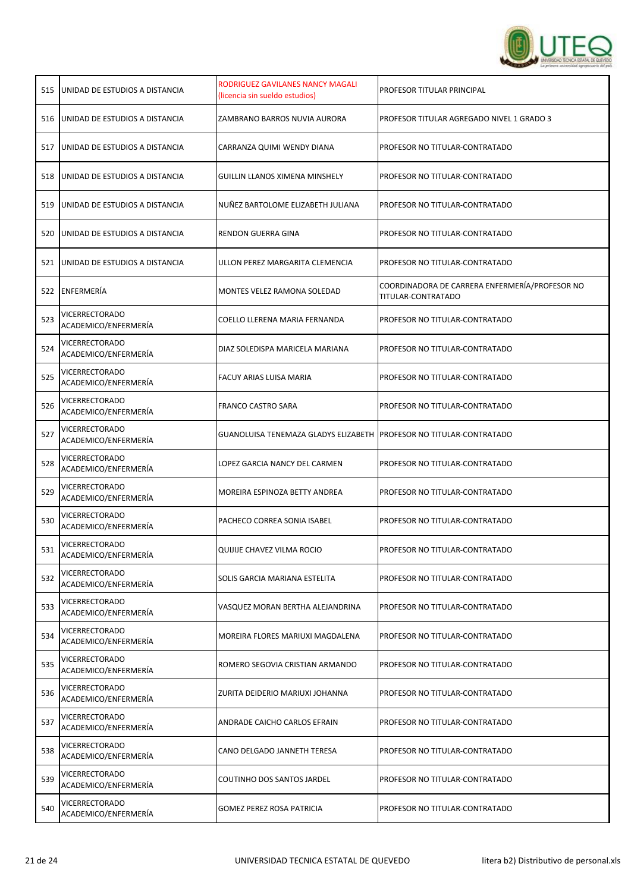

| 515 | UNIDAD DE ESTUDIOS A DISTANCIA         | RODRIGUEZ GAVILANES NANCY MAGALI<br>(licencia sin sueldo estudios)    | PROFESOR TITULAR PRINCIPAL                                           |
|-----|----------------------------------------|-----------------------------------------------------------------------|----------------------------------------------------------------------|
| 516 | UNIDAD DE ESTUDIOS A DISTANCIA         | ZAMBRANO BARROS NUVIA AURORA                                          | PROFESOR TITULAR AGREGADO NIVEL 1 GRADO 3                            |
| 517 | UNIDAD DE ESTUDIOS A DISTANCIA         | CARRANZA QUIMI WENDY DIANA                                            | PROFESOR NO TITULAR-CONTRATADO                                       |
| 518 | UNIDAD DE ESTUDIOS A DISTANCIA         | GUILLIN LLANOS XIMENA MINSHELY                                        | PROFESOR NO TITULAR-CONTRATADO                                       |
| 519 | UNIDAD DE ESTUDIOS A DISTANCIA         | NUÑEZ BARTOLOME ELIZABETH JULIANA                                     | PROFESOR NO TITULAR-CONTRATADO                                       |
| 520 | UNIDAD DE ESTUDIOS A DISTANCIA         | RENDON GUERRA GINA                                                    | PROFESOR NO TITULAR-CONTRATADO                                       |
| 521 | UNIDAD DE ESTUDIOS A DISTANCIA         | ULLON PEREZ MARGARITA CLEMENCIA                                       | PROFESOR NO TITULAR-CONTRATADO                                       |
|     | 522 ENFERMERÍA                         | MONTES VELEZ RAMONA SOLEDAD                                           | COORDINADORA DE CARRERA ENFERMERÍA/PROFESOR NO<br>TITULAR-CONTRATADO |
| 523 | VICERRECTORADO<br>ACADEMICO/ENFERMERÍA | COELLO LLERENA MARIA FERNANDA                                         | PROFESOR NO TITULAR-CONTRATADO                                       |
| 524 | VICERRECTORADO<br>ACADEMICO/ENFERMERÍA | DIAZ SOLEDISPA MARICELA MARIANA                                       | PROFESOR NO TITULAR-CONTRATADO                                       |
| 525 | VICERRECTORADO<br>ACADEMICO/ENFERMERÍA | FACUY ARIAS LUISA MARIA                                               | PROFESOR NO TITULAR-CONTRATADO                                       |
| 526 | VICERRECTORADO<br>ACADEMICO/ENFERMERÍA | <b>FRANCO CASTRO SARA</b>                                             | PROFESOR NO TITULAR-CONTRATADO                                       |
| 527 | VICERRECTORADO<br>ACADEMICO/ENFERMERÍA | GUANOLUISA TENEMAZA GLADYS ELIZABETH   PROFESOR NO TITULAR-CONTRATADO |                                                                      |
| 528 | VICERRECTORADO<br>ACADEMICO/ENFERMERÍA | LOPEZ GARCIA NANCY DEL CARMEN                                         | PROFESOR NO TITULAR-CONTRATADO                                       |
| 529 | VICERRECTORADO<br>ACADEMICO/ENFERMERÍA | MOREIRA ESPINOZA BETTY ANDREA                                         | PROFESOR NO TITULAR-CONTRATADO                                       |
| 530 | VICERRECTORADO<br>ACADEMICO/ENFERMERÍA | PACHECO CORREA SONIA ISABEL                                           | PROFESOR NO TITULAR-CONTRATADO                                       |
| 531 | VICERRECTORADO<br>ACADEMICO/ENFERMERÍA | QUIJIJE CHAVEZ VILMA ROCIO                                            | PROFESOR NO TITULAR-CONTRATADO                                       |
| 532 | VICERRECTORADO<br>ACADEMICO/ENFERMERÍA | SOLIS GARCIA MARIANA ESTELITA                                         | PROFESOR NO TITULAR-CONTRATADO                                       |
| 533 | VICERRECTORADO<br>ACADEMICO/ENFERMERÍA | VASQUEZ MORAN BERTHA ALEJANDRINA                                      | PROFESOR NO TITULAR-CONTRATADO                                       |
| 534 | VICERRECTORADO<br>ACADEMICO/ENFERMERÍA | MOREIRA FLORES MARIUXI MAGDALENA                                      | PROFESOR NO TITULAR-CONTRATADO                                       |
| 535 | VICERRECTORADO<br>ACADEMICO/ENFERMERÍA | ROMERO SEGOVIA CRISTIAN ARMANDO                                       | PROFESOR NO TITULAR-CONTRATADO                                       |
| 536 | VICERRECTORADO<br>ACADEMICO/ENFERMERÍA | ZURITA DEIDERIO MARIUXI JOHANNA                                       | PROFESOR NO TITULAR-CONTRATADO                                       |
| 537 | VICERRECTORADO<br>ACADEMICO/ENFERMERÍA | ANDRADE CAICHO CARLOS EFRAIN                                          | PROFESOR NO TITULAR-CONTRATADO                                       |
| 538 | VICERRECTORADO<br>ACADEMICO/ENFERMERÍA | CANO DELGADO JANNETH TERESA                                           | PROFESOR NO TITULAR-CONTRATADO                                       |
| 539 | VICERRECTORADO<br>ACADEMICO/ENFERMERÍA | COUTINHO DOS SANTOS JARDEL                                            | PROFESOR NO TITULAR-CONTRATADO                                       |
| 540 | VICERRECTORADO<br>ACADEMICO/ENFERMERÍA | GOMEZ PEREZ ROSA PATRICIA                                             | PROFESOR NO TITULAR-CONTRATADO                                       |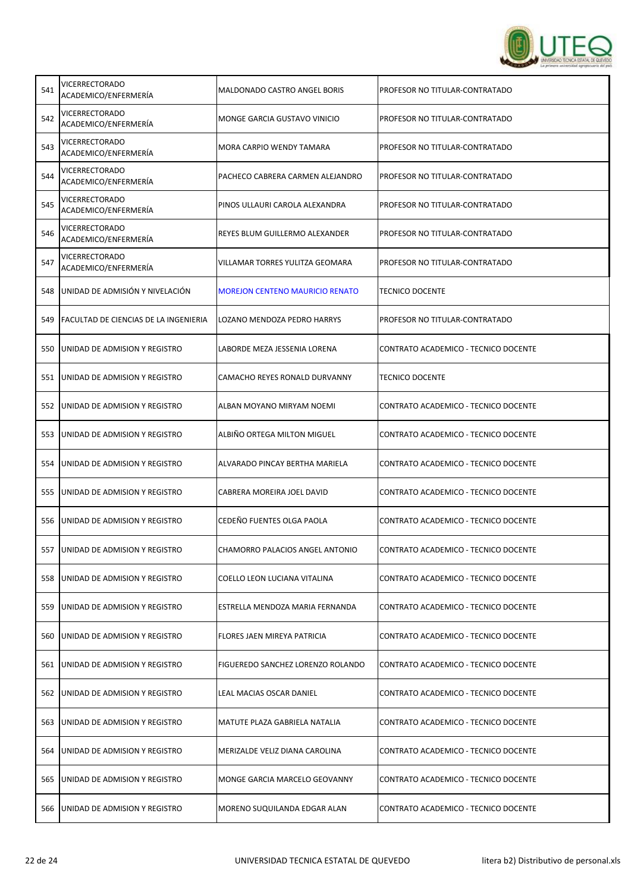

| 541 | VICERRECTORADO<br>ACADEMICO/ENFERMERÍA        | MALDONADO CASTRO ANGEL BORIS           | PROFESOR NO TITULAR-CONTRATADO       |
|-----|-----------------------------------------------|----------------------------------------|--------------------------------------|
| 542 | <b>VICERRECTORADO</b><br>ACADEMICO/ENFERMERÍA | MONGE GARCIA GUSTAVO VINICIO           | PROFESOR NO TITULAR-CONTRATADO       |
| 543 | VICERRECTORADO<br>ACADEMICO/ENFERMERÍA        | MORA CARPIO WENDY TAMARA               | PROFESOR NO TITULAR-CONTRATADO       |
| 544 | VICERRECTORADO<br>ACADEMICO/ENFERMERÍA        | PACHECO CABRERA CARMEN ALEJANDRO       | PROFESOR NO TITULAR-CONTRATADO       |
| 545 | VICERRECTORADO<br>ACADEMICO/ENFERMERÍA        | PINOS ULLAURI CAROLA ALEXANDRA         | PROFESOR NO TITULAR-CONTRATADO       |
| 546 | <b>VICERRECTORADO</b><br>ACADEMICO/ENFERMERÍA | REYES BLUM GUILLERMO ALEXANDER         | PROFESOR NO TITULAR-CONTRATADO       |
| 547 | VICERRECTORADO<br>ACADEMICO/ENFERMERÍA        | VILLAMAR TORRES YULITZA GEOMARA        | PROFESOR NO TITULAR-CONTRATADO       |
| 548 | UNIDAD DE ADMISIÓN Y NIVELACIÓN               | <b>MOREJON CENTENO MAURICIO RENATO</b> | <b>TECNICO DOCENTE</b>               |
| 549 | <b>FACULTAD DE CIENCIAS DE LA INGENIERIA</b>  | LOZANO MENDOZA PEDRO HARRYS            | PROFESOR NO TITULAR-CONTRATADO       |
| 550 | UNIDAD DE ADMISION Y REGISTRO                 | LABORDE MEZA JESSENIA LORENA           | CONTRATO ACADEMICO - TECNICO DOCENTE |
| 551 | JUNIDAD DE ADMISION Y REGISTRO                | CAMACHO REYES RONALD DURVANNY          | <b>TECNICO DOCENTE</b>               |
| 552 | UNIDAD DE ADMISION Y REGISTRO                 | ALBAN MOYANO MIRYAM NOEMI              | CONTRATO ACADEMICO - TECNICO DOCENTE |
| 553 | UNIDAD DE ADMISION Y REGISTRO                 | ALBIÑO ORTEGA MILTON MIGUEL            | CONTRATO ACADEMICO - TECNICO DOCENTE |
| 554 | UNIDAD DE ADMISION Y REGISTRO                 | ALVARADO PINCAY BERTHA MARIELA         | CONTRATO ACADEMICO - TECNICO DOCENTE |
| 555 | UNIDAD DE ADMISION Y REGISTRO                 | CABRERA MOREIRA JOEL DAVID             | CONTRATO ACADEMICO - TECNICO DOCENTE |
| 556 | UNIDAD DE ADMISION Y REGISTRO                 | CEDEÑO FUENTES OLGA PAOLA              | CONTRATO ACADEMICO - TECNICO DOCENTE |
|     | 557 JUNIDAD DE ADMISION Y REGISTRO            | CHAMORRO PALACIOS ANGEL ANTONIO        | CONTRATO ACADEMICO - TECNICO DOCENTE |
| 558 | UNIDAD DE ADMISION Y REGISTRO                 | COELLO LEON LUCIANA VITALINA           | CONTRATO ACADEMICO - TECNICO DOCENTE |
| 559 | UNIDAD DE ADMISION Y REGISTRO                 | ESTRELLA MENDOZA MARIA FERNANDA        | CONTRATO ACADEMICO - TECNICO DOCENTE |
| 560 | UNIDAD DE ADMISION Y REGISTRO                 | FLORES JAEN MIREYA PATRICIA            | CONTRATO ACADEMICO - TECNICO DOCENTE |
| 561 | UNIDAD DE ADMISION Y REGISTRO                 | FIGUEREDO SANCHEZ LORENZO ROLANDO      | CONTRATO ACADEMICO - TECNICO DOCENTE |
| 562 | JUNIDAD DE ADMISION Y REGISTRO                | LEAL MACIAS OSCAR DANIEL               | CONTRATO ACADEMICO - TECNICO DOCENTE |
| 563 | UNIDAD DE ADMISION Y REGISTRO                 | MATUTE PLAZA GABRIELA NATALIA          | CONTRATO ACADEMICO - TECNICO DOCENTE |
| 564 | UNIDAD DE ADMISION Y REGISTRO                 | MERIZALDE VELIZ DIANA CAROLINA         | CONTRATO ACADEMICO - TECNICO DOCENTE |
| 565 | UNIDAD DE ADMISION Y REGISTRO                 | MONGE GARCIA MARCELO GEOVANNY          | CONTRATO ACADEMICO - TECNICO DOCENTE |
| 566 | UNIDAD DE ADMISION Y REGISTRO                 | MORENO SUQUILANDA EDGAR ALAN           | CONTRATO ACADEMICO - TECNICO DOCENTE |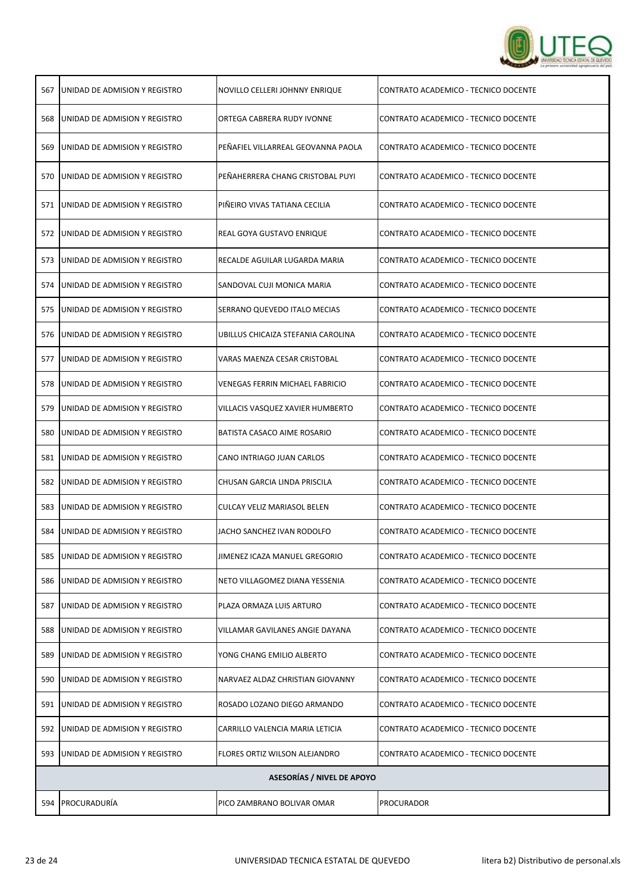

| 567 | UNIDAD DE ADMISION Y REGISTRO | NOVILLO CELLERI JOHNNY ENRIQUE         | CONTRATO ACADEMICO - TECNICO DOCENTE |
|-----|-------------------------------|----------------------------------------|--------------------------------------|
| 568 | UNIDAD DE ADMISION Y REGISTRO | ORTEGA CABRERA RUDY IVONNE             | CONTRATO ACADEMICO - TECNICO DOCENTE |
| 569 | UNIDAD DE ADMISION Y REGISTRO | PEÑAFIEL VILLARREAL GEOVANNA PAOLA     | CONTRATO ACADEMICO - TECNICO DOCENTE |
| 570 | UNIDAD DE ADMISION Y REGISTRO | PEÑAHERRERA CHANG CRISTOBAL PUYI       | CONTRATO ACADEMICO - TECNICO DOCENTE |
| 571 | UNIDAD DE ADMISION Y REGISTRO | PIÑEIRO VIVAS TATIANA CECILIA          | CONTRATO ACADEMICO - TECNICO DOCENTE |
| 572 | UNIDAD DE ADMISION Y REGISTRO | REAL GOYA GUSTAVO ENRIQUE              | CONTRATO ACADEMICO - TECNICO DOCENTE |
| 573 | UNIDAD DE ADMISION Y REGISTRO | RECALDE AGUILAR LUGARDA MARIA          | CONTRATO ACADEMICO - TECNICO DOCENTE |
| 574 | UNIDAD DE ADMISION Y REGISTRO | SANDOVAL CUJI MONICA MARIA             | CONTRATO ACADEMICO - TECNICO DOCENTE |
| 575 | UNIDAD DE ADMISION Y REGISTRO | SERRANO QUEVEDO ITALO MECIAS           | CONTRATO ACADEMICO - TECNICO DOCENTE |
| 576 | UNIDAD DE ADMISION Y REGISTRO | UBILLUS CHICAIZA STEFANIA CAROLINA     | CONTRATO ACADEMICO - TECNICO DOCENTE |
| 577 | UNIDAD DE ADMISION Y REGISTRO | VARAS MAENZA CESAR CRISTOBAL           | CONTRATO ACADEMICO - TECNICO DOCENTE |
| 578 | UNIDAD DE ADMISION Y REGISTRO | <b>VENEGAS FERRIN MICHAEL FABRICIO</b> | CONTRATO ACADEMICO - TECNICO DOCENTE |
| 579 | UNIDAD DE ADMISION Y REGISTRO | VILLACIS VASQUEZ XAVIER HUMBERTO       | CONTRATO ACADEMICO - TECNICO DOCENTE |
| 580 | UNIDAD DE ADMISION Y REGISTRO | BATISTA CASACO AIME ROSARIO            | CONTRATO ACADEMICO - TECNICO DOCENTE |
| 581 | UNIDAD DE ADMISION Y REGISTRO | CANO INTRIAGO JUAN CARLOS              | CONTRATO ACADEMICO - TECNICO DOCENTE |
| 582 | UNIDAD DE ADMISION Y REGISTRO | CHUSAN GARCIA LINDA PRISCILA           | CONTRATO ACADEMICO - TECNICO DOCENTE |
| 583 | UNIDAD DE ADMISION Y REGISTRO | CULCAY VELIZ MARIASOL BELEN            | CONTRATO ACADEMICO - TECNICO DOCENTE |
| 584 | UNIDAD DE ADMISION Y REGISTRO | JACHO SANCHEZ IVAN RODOLFO             | CONTRATO ACADEMICO - TECNICO DOCENTE |
| 585 | UNIDAD DE ADMISION Y REGISTRO | JIMENEZ ICAZA MANUEL GREGORIO          | CONTRATO ACADEMICO - TECNICO DOCENTE |
| 586 | UNIDAD DE ADMISION Y REGISTRO | NETO VILLAGOMEZ DIANA YESSENIA         | CONTRATO ACADEMICO - TECNICO DOCENTE |
| 587 | UNIDAD DE ADMISION Y REGISTRO | PLAZA ORMAZA LUIS ARTURO               | CONTRATO ACADEMICO - TECNICO DOCENTE |
| 588 | UNIDAD DE ADMISION Y REGISTRO | VILLAMAR GAVILANES ANGIE DAYANA        | CONTRATO ACADEMICO - TECNICO DOCENTE |
| 589 | UNIDAD DE ADMISION Y REGISTRO | YONG CHANG EMILIO ALBERTO              | CONTRATO ACADEMICO - TECNICO DOCENTE |
| 590 | UNIDAD DE ADMISION Y REGISTRO | NARVAEZ ALDAZ CHRISTIAN GIOVANNY       | CONTRATO ACADEMICO - TECNICO DOCENTE |
| 591 | UNIDAD DE ADMISION Y REGISTRO | ROSADO LOZANO DIEGO ARMANDO            | CONTRATO ACADEMICO - TECNICO DOCENTE |
| 592 | UNIDAD DE ADMISION Y REGISTRO | CARRILLO VALENCIA MARIA LETICIA        | CONTRATO ACADEMICO - TECNICO DOCENTE |
| 593 | UNIDAD DE ADMISION Y REGISTRO | FLORES ORTIZ WILSON ALEJANDRO          | CONTRATO ACADEMICO - TECNICO DOCENTE |
|     |                               | <b>ASESORÍAS / NIVEL DE APOYO</b>      |                                      |
| 594 | PROCURADURÍA                  | PICO ZAMBRANO BOLIVAR OMAR             | <b>PROCURADOR</b>                    |